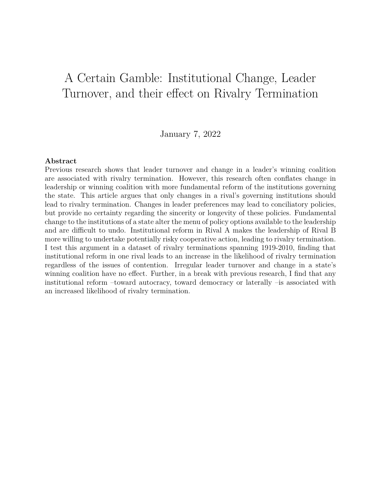# A Certain Gamble: Institutional Change, Leader Turnover, and their effect on Rivalry Termination

January 7, 2022

### **Abstract**

Previous research shows that leader turnover and change in a leader's winning coalition are associated with rivalry termination. However, this research often conflates change in leadership or winning coalition with more fundamental reform of the institutions governing the state. This article argues that only changes in a rival's governing institutions should lead to rivalry termination. Changes in leader preferences may lead to conciliatory policies, but provide no certainty regarding the sincerity or longevity of these policies. Fundamental change to the institutions of a state alter the menu of policy options available to the leadership and are difficult to undo. Institutional reform in Rival A makes the leadership of Rival B more willing to undertake potentially risky cooperative action, leading to rivalry termination. I test this argument in a dataset of rivalry terminations spanning 1919-2010, finding that institutional reform in one rival leads to an increase in the likelihood of rivalry termination regardless of the issues of contention. Irregular leader turnover and change in a state's winning coalition have no effect. Further, in a break with previous research, I find that any institutional reform –toward autocracy, toward democracy or laterally –is associated with an increased likelihood of rivalry termination.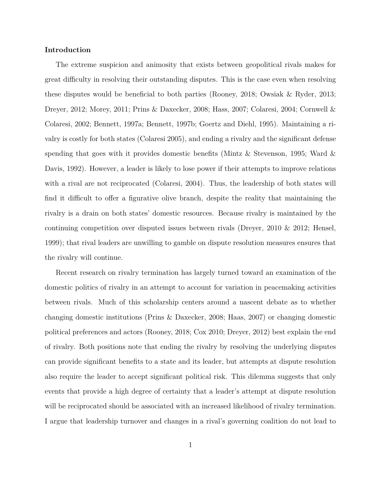#### **Introduction**

The extreme suspicion and animosity that exists between geopolitical rivals makes for great difficulty in resolving their outstanding disputes. This is the case even when resolving these disputes would be beneficial to both parties (Rooney, 2018; Owsiak & Ryder, 2013; Dreyer, 2012; Morey, 2011; Prins & Daxecker, 2008; Hass, 2007; Colaresi, 2004; Cornwell & Colaresi, 2002; Bennett, 1997a; Bennett, 1997b; Goertz and Diehl, 1995). Maintaining a rivalry is costly for both states (Colaresi 2005), and ending a rivalry and the significant defense spending that goes with it provides domestic benefits (Mintz & Stevenson, 1995; Ward  $\&$ Davis, 1992). However, a leader is likely to lose power if their attempts to improve relations with a rival are not reciprocated (Colaresi, 2004). Thus, the leadership of both states will find it difficult to offer a figurative olive branch, despite the reality that maintaining the rivalry is a drain on both states' domestic resources. Because rivalry is maintained by the continuing competition over disputed issues between rivals (Dreyer, 2010 & 2012; Hensel, 1999); that rival leaders are unwilling to gamble on dispute resolution measures ensures that the rivalry will continue.

Recent research on rivalry termination has largely turned toward an examination of the domestic politics of rivalry in an attempt to account for variation in peacemaking activities between rivals. Much of this scholarship centers around a nascent debate as to whether changing domestic institutions (Prins & Daxecker, 2008; Haas, 2007) or changing domestic political preferences and actors (Rooney, 2018; Cox 2010; Dreyer, 2012) best explain the end of rivalry. Both positions note that ending the rivalry by resolving the underlying disputes can provide significant benefits to a state and its leader, but attempts at dispute resolution also require the leader to accept significant political risk. This dilemma suggests that only events that provide a high degree of certainty that a leader's attempt at dispute resolution will be reciprocated should be associated with an increased likelihood of rivalry termination. I argue that leadership turnover and changes in a rival's governing coalition do not lead to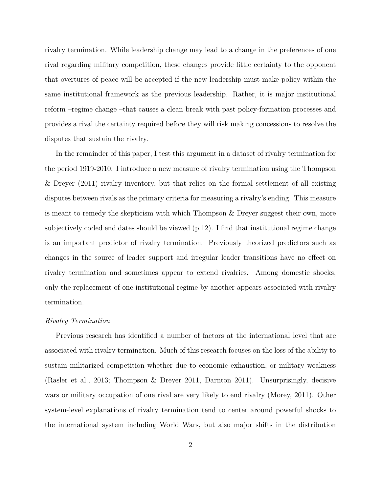rivalry termination. While leadership change may lead to a change in the preferences of one rival regarding military competition, these changes provide little certainty to the opponent that overtures of peace will be accepted if the new leadership must make policy within the same institutional framework as the previous leadership. Rather, it is major institutional reform –regime change –that causes a clean break with past policy-formation processes and provides a rival the certainty required before they will risk making concessions to resolve the disputes that sustain the rivalry.

In the remainder of this paper, I test this argument in a dataset of rivalry termination for the period 1919-2010. I introduce a new measure of rivalry termination using the Thompson & Dreyer (2011) rivalry inventory, but that relies on the formal settlement of all existing disputes between rivals as the primary criteria for measuring a rivalry's ending. This measure is meant to remedy the skepticism with which Thompson & Dreyer suggest their own, more subjectively coded end dates should be viewed (p.12). I find that institutional regime change is an important predictor of rivalry termination. Previously theorized predictors such as changes in the source of leader support and irregular leader transitions have no effect on rivalry termination and sometimes appear to extend rivalries. Among domestic shocks, only the replacement of one institutional regime by another appears associated with rivalry termination.

#### *Rivalry Termination*

Previous research has identified a number of factors at the international level that are associated with rivalry termination. Much of this research focuses on the loss of the ability to sustain militarized competition whether due to economic exhaustion, or military weakness (Rasler et al., 2013; Thompson & Dreyer 2011, Darnton 2011). Unsurprisingly, decisive wars or military occupation of one rival are very likely to end rivalry (Morey, 2011). Other system-level explanations of rivalry termination tend to center around powerful shocks to the international system including World Wars, but also major shifts in the distribution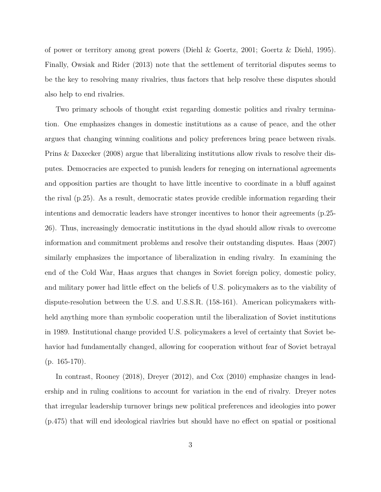of power or territory among great powers (Diehl & Goertz, 2001; Goertz & Diehl, 1995). Finally, Owsiak and Rider (2013) note that the settlement of territorial disputes seems to be the key to resolving many rivalries, thus factors that help resolve these disputes should also help to end rivalries.

Two primary schools of thought exist regarding domestic politics and rivalry termination. One emphasizes changes in domestic institutions as a cause of peace, and the other argues that changing winning coalitions and policy preferences bring peace between rivals. Prins & Daxecker (2008) argue that liberalizing institutions allow rivals to resolve their disputes. Democracies are expected to punish leaders for reneging on international agreements and opposition parties are thought to have little incentive to coordinate in a bluff against the rival (p.25). As a result, democratic states provide credible information regarding their intentions and democratic leaders have stronger incentives to honor their agreements (p.25- 26). Thus, increasingly democratic institutions in the dyad should allow rivals to overcome information and commitment problems and resolve their outstanding disputes. Haas (2007) similarly emphasizes the importance of liberalization in ending rivalry. In examining the end of the Cold War, Haas argues that changes in Soviet foreign policy, domestic policy, and military power had little effect on the beliefs of U.S. policymakers as to the viability of dispute-resolution between the U.S. and U.S.S.R. (158-161). American policymakers withheld anything more than symbolic cooperation until the liberalization of Soviet institutions in 1989. Institutional change provided U.S. policymakers a level of certainty that Soviet behavior had fundamentally changed, allowing for cooperation without fear of Soviet betrayal (p. 165-170).

In contrast, Rooney (2018), Dreyer (2012), and Cox (2010) emphasize changes in leadership and in ruling coalitions to account for variation in the end of rivalry. Dreyer notes that irregular leadership turnover brings new political preferences and ideologies into power (p.475) that will end ideological riavlries but should have no effect on spatial or positional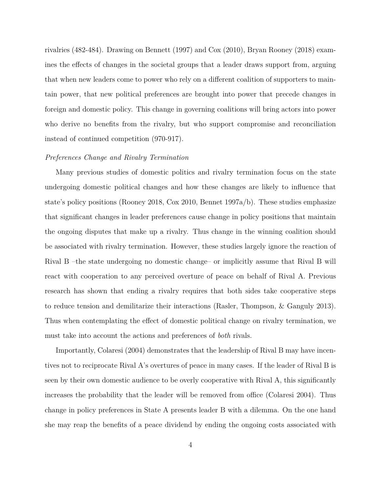rivalries (482-484). Drawing on Bennett (1997) and Cox (2010), Bryan Rooney (2018) examines the effects of changes in the societal groups that a leader draws support from, arguing that when new leaders come to power who rely on a different coalition of supporters to maintain power, that new political preferences are brought into power that precede changes in foreign and domestic policy. This change in governing coalitions will bring actors into power who derive no benefits from the rivalry, but who support compromise and reconciliation instead of continued competition (970-917).

#### *Preferences Change and Rivalry Termination*

Many previous studies of domestic politics and rivalry termination focus on the state undergoing domestic political changes and how these changes are likely to influence that state's policy positions (Rooney 2018, Cox 2010, Bennet 1997a/b). These studies emphasize that significant changes in leader preferences cause change in policy positions that maintain the ongoing disputes that make up a rivalry. Thus change in the winning coalition should be associated with rivalry termination. However, these studies largely ignore the reaction of Rival B –the state undergoing no domestic change– or implicitly assume that Rival B will react with cooperation to any perceived overture of peace on behalf of Rival A. Previous research has shown that ending a rivalry requires that both sides take cooperative steps to reduce tension and demilitarize their interactions (Rasler, Thompson, & Ganguly 2013). Thus when contemplating the effect of domestic political change on rivalry termination, we must take into account the actions and preferences of *both* rivals.

Importantly, Colaresi (2004) demonstrates that the leadership of Rival B may have incentives not to reciprocate Rival A's overtures of peace in many cases. If the leader of Rival B is seen by their own domestic audience to be overly cooperative with Rival A, this significantly increases the probability that the leader will be removed from office (Colaresi 2004). Thus change in policy preferences in State A presents leader B with a dilemma. On the one hand she may reap the benefits of a peace dividend by ending the ongoing costs associated with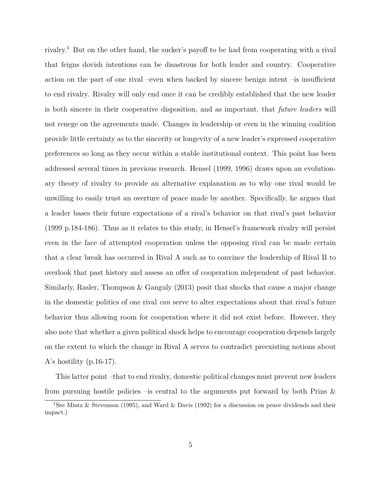rivalry.<sup>1</sup> But on the other hand, the sucker's payoff to be had from cooperating with a rival that feigns dovish intentions can be disastrous for both leader and country. Cooperative action on the part of one rival –even when backed by sincere benign intent –is insufficient to end rivalry. Rivalry will only end once it can be credibly established that the new leader is both sincere in their cooperative disposition, and as important, that *future leaders* will not renege on the agreements made. Changes in leadership or even in the winning coalition provide little certainty as to the sincerity or longevity of a new leader's expressed cooperative preferences so long as they occur within a stable institutional context. This point has been addressed several times in previous research. Hensel (1999, 1996) draws upon an evolutionary theory of rivalry to provide an alternative explanation as to why one rival would be unwilling to easily trust an overture of peace made by another. Specifically, he argues that a leader bases their future expectations of a rival's behavior on that rival's past behavior (1999 p.184-186). Thus as it relates to this study, in Hensel's framework rivalry will persist even in the face of attempted cooperation unless the opposing rival can be made certain that a clear break has occurred in Rival A such as to convince the leadership of Rival B to overlook that past history and assess an offer of cooperation independent of past behavior. Similarly, Rasler, Thompson & Ganguly (2013) posit that shocks that cause a major change in the domestic politics of one rival *can* serve to alter expectations about that rival's future behavior thus allowing room for cooperation where it did not exist before. However, they also note that whether a given political shock helps to encourage cooperation depends largely on the extent to which the change in Rival A serves to contradict preexisting notions about A's hostility  $(p.16-17)$ .

This latter point –that to end rivalry, domestic political changes must prevent new leaders from pursuing hostile policies –is central to the arguments put forward by both Prins  $\&$ 

<sup>&</sup>lt;sup>1</sup>See Mintz & Stevenson (1995), and Ward & Davis (1992) for a discussion on peace dividends and their impact.)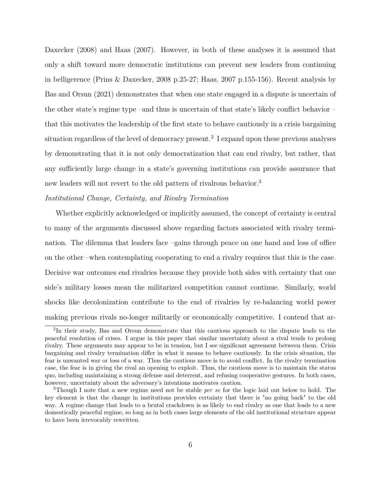Daxecker (2008) and Haas (2007). However, in both of these analyses it is assumed that only a shift toward more democratic institutions can prevent new leaders from continuing in belligerence (Prins & Daxecker, 2008 p.25-27; Haas, 2007 p.155-156). Recent analysis by Bas and Orsun (2021) demonstrates that when one state engaged in a dispute is uncertain of the other state's regime type –and thus is uncertain of that state's likely conflict behavior – that this motivates the leadership of the first state to behave cautiously in a crisis bargaining situation regardless of the level of democracy present.<sup>2</sup> I expand upon these previous analyses by demonstrating that it is not only democratization that can end rivalry, but rather, that any sufficiently large change in a state's governing institutions can provide assurance that new leaders will not revert to the old pattern of rivalrous behavior.<sup>3</sup>

## *Institutional Change, Certainty, and Rivalry Termination*

Whether explicitly acknowledged or implicitly assumed, the concept of certainty is central to many of the arguments discussed above regarding factors associated with rivalry termination. The dilemma that leaders face –gains through peace on one hand and loss of office on the other –when contemplating cooperating to end a rivalry requires that this is the case. Decisive war outcomes end rivalries because they provide both sides with certainty that one side's military losses mean the militarized competition cannot continue. Similarly, world shocks like decolonization contribute to the end of rivalries by re-balancing world power making previous rivals no-longer militarily or economically competitive. I contend that ar-

<sup>&</sup>lt;sup>2</sup>In their study, Bas and Orsun demonstrate that this cautious approach to the dispute leads to the peaceful resolution of crises. I argue in this paper that similar uncertainty about a rival tends to prolong rivalry. These arguments may appear to be in tension, but I see significant agreement between them. Crisis bargaining and rivalry termination differ in what it means to behave cautiously. In the crisis situation, the fear is unwanted war or loss of a war. Thus the cautious move is to avoid conflict. In the rivalry termination case, the fear is in giving the rival an opening to exploit. Thus, the cautious move is to maintain the status quo, including maintaining a strong defense and deterrent, and refusing cooperative gestures. In both cases, however, uncertainty about the adversary's intentions motivates caution.

<sup>3</sup>Though I note that a new regime need not be stable *per se* for the logic laid out below to hold. The key element is that the change in institutions provides certainty that there is "no going back" to the old way. A regime change that leads to a brutal crackdown is as likely to end rivalry as one that leads to a new domestically peaceful regime, so long as in both cases large elements of the old institutional structure appear to have been irrevocably rewritten.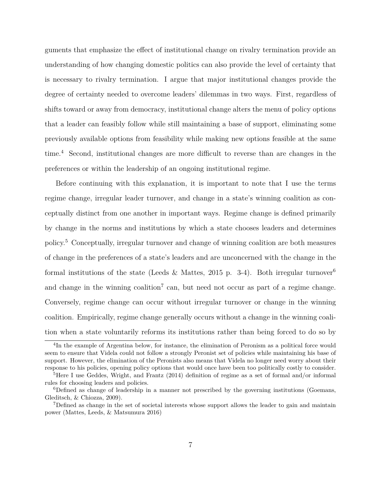guments that emphasize the effect of institutional change on rivalry termination provide an understanding of how changing domestic politics can also provide the level of certainty that is necessary to rivalry termination. I argue that major institutional changes provide the degree of certainty needed to overcome leaders' dilemmas in two ways. First, regardless of shifts toward or away from democracy, institutional change alters the menu of policy options that a leader can feasibly follow while still maintaining a base of support, eliminating some previously available options from feasibility while making new options feasible at the same time.<sup>4</sup> Second, institutional changes are more difficult to reverse than are changes in the preferences or within the leadership of an ongoing institutional regime.

Before continuing with this explanation, it is important to note that I use the terms regime change, irregular leader turnover, and change in a state's winning coalition as conceptually distinct from one another in important ways. Regime change is defined primarily by change in the norms and institutions by which a state chooses leaders and determines policy.<sup>5</sup> Conceptually, irregular turnover and change of winning coalition are both measures of change in the preferences of a state's leaders and are unconcerned with the change in the formal institutions of the state (Leeds & Mattes, 2015 p. 3-4). Both irregular turnover<sup>6</sup> and change in the winning coalition<sup>7</sup> can, but need not occur as part of a regime change. Conversely, regime change can occur without irregular turnover or change in the winning coalition. Empirically, regime change generally occurs without a change in the winning coalition when a state voluntarily reforms its institutions rather than being forced to do so by

<sup>&</sup>lt;sup>4</sup>In the example of Argentina below, for instance, the elimination of Peronism as a political force would seem to ensure that Videla could not follow a strongly Peronist set of policies while maintaining his base of support. However, the elimination of the Peronists also means that Videla no longer need worry about their response to his policies, opening policy options that would once have been too politically costly to consider.

<sup>&</sup>lt;sup>5</sup>Here I use Geddes, Wright, and Frantz (2014) definition of regime as a set of formal and/or informal rules for choosing leaders and policies.

 ${}^{6}$ Defined as change of leadership in a manner not prescribed by the governing institutions (Goemans, Gleditsch, & Chiozza, 2009).

<sup>7</sup>Defined as change in the set of societal interests whose support allows the leader to gain and maintain power (Mattes, Leeds, & Matsumura 2016)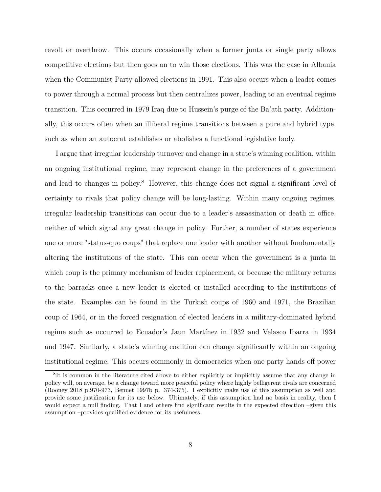revolt or overthrow. This occurs occasionally when a former junta or single party allows competitive elections but then goes on to win those elections. This was the case in Albania when the Communist Party allowed elections in 1991. This also occurs when a leader comes to power through a normal process but then centralizes power, leading to an eventual regime transition. This occurred in 1979 Iraq due to Hussein's purge of the Ba'ath party. Additionally, this occurs often when an illiberal regime transitions between a pure and hybrid type, such as when an autocrat establishes or abolishes a functional legislative body.

I argue that irregular leadership turnover and change in a state's winning coalition, within an ongoing institutional regime, may represent change in the preferences of a government and lead to changes in policy.<sup>8</sup> However, this change does not signal a significant level of certainty to rivals that policy change will be long-lasting. Within many ongoing regimes, irregular leadership transitions can occur due to a leader's assassination or death in office, neither of which signal any great change in policy. Further, a number of states experience one or more "status-quo coups" that replace one leader with another without fundamentally altering the institutions of the state. This can occur when the government is a junta in which coup is the primary mechanism of leader replacement, or because the military returns to the barracks once a new leader is elected or installed according to the institutions of the state. Examples can be found in the Turkish coups of 1960 and 1971, the Brazilian coup of 1964, or in the forced resignation of elected leaders in a military-dominated hybrid regime such as occurred to Ecuador's Jaun Martínez in 1932 and Velasco Ibarra in 1934 and 1947. Similarly, a state's winning coalition can change significantly within an ongoing institutional regime. This occurs commonly in democracies when one party hands off power

<sup>&</sup>lt;sup>8</sup>It is common in the literature cited above to either explicitly or implicitly assume that any change in policy will, on average, be a change toward more peaceful policy where highly belligerent rivals are concerned (Rooney 2018 p.970-973, Bennet 1997b p. 374-375). I explicitly make use of this assumption as well and provide some justification for its use below. Ultimately, if this assumption had no basis in reality, then I would expect a null finding. That I and others find significant results in the expected direction –given this assumption –provides qualified evidence for its usefulness.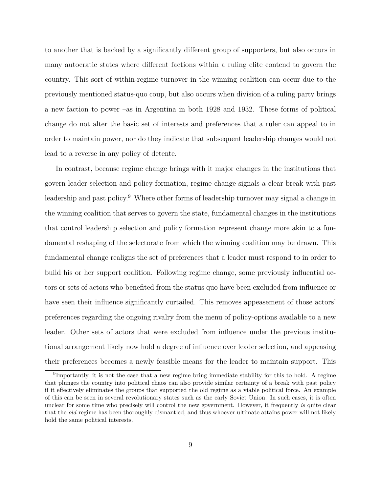to another that is backed by a significantly different group of supporters, but also occurs in many autocratic states where different factions within a ruling elite contend to govern the country. This sort of within-regime turnover in the winning coalition can occur due to the previously mentioned status-quo coup, but also occurs when division of a ruling party brings a new faction to power –as in Argentina in both 1928 and 1932. These forms of political change do not alter the basic set of interests and preferences that a ruler can appeal to in order to maintain power, nor do they indicate that subsequent leadership changes would not lead to a reverse in any policy of detente.

In contrast, because regime change brings with it major changes in the institutions that govern leader selection and policy formation, regime change signals a clear break with past leadership and past policy.<sup>9</sup> Where other forms of leadership turnover may signal a change in the winning coalition that serves to govern the state, fundamental changes in the institutions that control leadership selection and policy formation represent change more akin to a fundamental reshaping of the selectorate from which the winning coalition may be drawn. This fundamental change realigns the set of preferences that a leader must respond to in order to build his or her support coalition. Following regime change, some previously influential actors or sets of actors who benefited from the status quo have been excluded from influence or have seen their influence significantly curtailed. This removes appeasement of those actors' preferences regarding the ongoing rivalry from the menu of policy-options available to a new leader. Other sets of actors that were excluded from influence under the previous institutional arrangement likely now hold a degree of influence over leader selection, and appeasing their preferences becomes a newly feasible means for the leader to maintain support. This

<sup>&</sup>lt;sup>9</sup>Importantly, it is not the case that a new regime bring immediate stability for this to hold. A regime that plunges the country into political chaos can also provide similar certainty of a break with past policy if it effectively eliminates the groups that supported the old regime as a viable political force. An example of this can be seen in several revolutionary states such as the early Soviet Union. In such cases, it is often unclear for some time who precisely will control the new government. However, it frequently *is* quite clear that the *old* regime has been thoroughly dismantled, and thus whoever ultimate attains power will not likely hold the same political interests.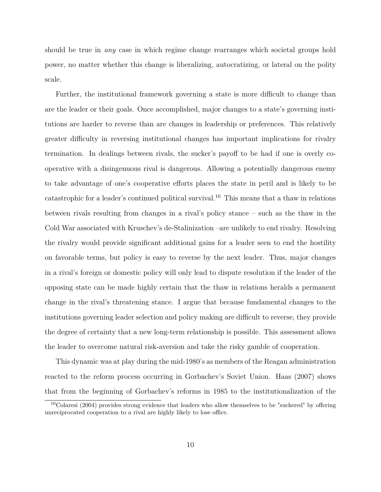should be true in *any* case in which regime change rearranges which societal groups hold power, no matter whether this change is liberalizing, autocratizing, or lateral on the polity scale.

Further, the institutional framework governing a state is more difficult to change than are the leader or their goals. Once accomplished, major changes to a state's governing institutions are harder to reverse than are changes in leadership or preferences. This relatively greater difficulty in reversing institutional changes has important implications for rivalry termination. In dealings between rivals, the sucker's payoff to be had if one is overly cooperative with a disingenuous rival is dangerous. Allowing a potentially dangerous enemy to take advantage of one's cooperative efforts places the state in peril and is likely to be catastrophic for a leader's continued political survival.<sup>10</sup> This means that a thaw in relations between rivals resulting from changes in a rival's policy stance – such as the thaw in the Cold War associated with Kruschev's de-Stalinization –are unlikely to end rivalry. Resolving the rivalry would provide significant additional gains for a leader seen to end the hostility on favorable terms, but policy is easy to reverse by the next leader. Thus, major changes in a rival's foreign or domestic policy will only lead to dispute resolution if the leader of the opposing state can be made highly certain that the thaw in relations heralds a permanent change in the rival's threatening stance. I argue that because fundamental changes to the institutions governing leader selection and policy making are difficult to reverse, they provide the degree of certainty that a new long-term relationship is possible. This assessment allows the leader to overcome natural risk-aversion and take the risky gamble of cooperation.

This dynamic was at play during the mid-1980's as members of the Reagan administration reacted to the reform process occurring in Gorbachev's Soviet Union. Haas (2007) shows that from the beginning of Gorbachev's reforms in 1985 to the institutionalization of the

 $10$ Colaresi (2004) provides strong evidence that leaders who allow themselves to be "suckered" by offering unreciprocated cooperation to a rival are highly likely to lose office.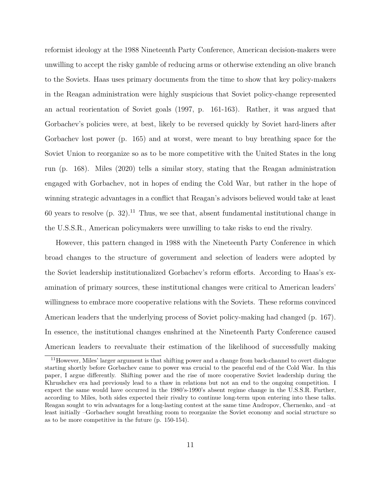reformist ideology at the 1988 Nineteenth Party Conference, American decision-makers were unwilling to accept the risky gamble of reducing arms or otherwise extending an olive branch to the Soviets. Haas uses primary documents from the time to show that key policy-makers in the Reagan administration were highly suspicious that Soviet policy-change represented an actual reorientation of Soviet goals (1997, p. 161-163). Rather, it was argued that Gorbachev's policies were, at best, likely to be reversed quickly by Soviet hard-liners after Gorbachev lost power (p. 165) and at worst, were meant to buy breathing space for the Soviet Union to reorganize so as to be more competitive with the United States in the long run (p. 168). Miles (2020) tells a similar story, stating that the Reagan administration engaged with Gorbachev, not in hopes of ending the Cold War, but rather in the hope of winning strategic advantages in a conflict that Reagan's advisors believed would take at least 60 years to resolve  $(p. 32)$ .<sup>11</sup> Thus, we see that, absent fundamental institutional change in the U.S.S.R., American policymakers were unwilling to take risks to end the rivalry.

However, this pattern changed in 1988 with the Nineteenth Party Conference in which broad changes to the structure of government and selection of leaders were adopted by the Soviet leadership institutionalized Gorbachev's reform efforts. According to Haas's examination of primary sources, these institutional changes were critical to American leaders' willingness to embrace more cooperative relations with the Soviets. These reforms convinced American leaders that the underlying process of Soviet policy-making had changed (p. 167). In essence, the institutional changes enshrined at the Nineteenth Party Conference caused American leaders to reevaluate their estimation of the likelihood of successfully making

<sup>11</sup>However, Miles' larger argument is that shifting power and a change from back-channel to overt dialogue starting shortly before Gorbachev came to power was crucial to the peaceful end of the Cold War. In this paper, I argue differently. Shifting power and the rise of more cooperative Soviet leadership during the Khrushchev era had previously lead to a thaw in relations but not an end to the ongoing competition. I expect the same would have occurred in the 1980's-1990's absent regime change in the U.S.S.R. Further, according to Miles, both sides expected their rivalry to continue long-term upon entering into these talks. Reagan sought to win advantages for a long-lasting contest at the same time Andropov, Chernenko, and –at least initially –Gorbachev sought breathing room to reorganize the Soviet economy and social structure so as to be more competitive in the future (p. 150-154).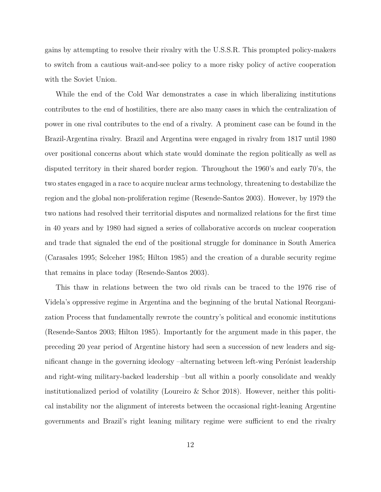gains by attempting to resolve their rivalry with the U.S.S.R. This prompted policy-makers to switch from a cautious wait-and-see policy to a more risky policy of active cooperation with the Soviet Union.

While the end of the Cold War demonstrates a case in which liberalizing institutions contributes to the end of hostilities, there are also many cases in which the centralization of power in one rival contributes to the end of a rivalry. A prominent case can be found in the Brazil-Argentina rivalry. Brazil and Argentina were engaged in rivalry from 1817 until 1980 over positional concerns about which state would dominate the region politically as well as disputed territory in their shared border region. Throughout the 1960's and early 70's, the two states engaged in a race to acquire nuclear arms technology, threatening to destabilize the region and the global non-proliferation regime (Resende-Santos 2003). However, by 1979 the two nations had resolved their territorial disputes and normalized relations for the first time in 40 years and by 1980 had signed a series of collaborative accords on nuclear cooperation and trade that signaled the end of the positional struggle for dominance in South America (Carasales 1995; Selceher 1985; Hilton 1985) and the creation of a durable security regime that remains in place today (Resende-Santos 2003).

This thaw in relations between the two old rivals can be traced to the 1976 rise of Videla's oppressive regime in Argentina and the beginning of the brutal National Reorganization Process that fundamentally rewrote the country's political and economic institutions (Resende-Santos 2003; Hilton 1985). Importantly for the argument made in this paper, the preceding 20 year period of Argentine history had seen a succession of new leaders and significant change in the governing ideology –alternating between left-wing Perónist leadership and right-wing military-backed leadership –but all within a poorly consolidate and weakly institutionalized period of volatility (Loureiro & Schor 2018). However, neither this political instability nor the alignment of interests between the occasional right-leaning Argentine governments and Brazil's right leaning military regime were sufficient to end the rivalry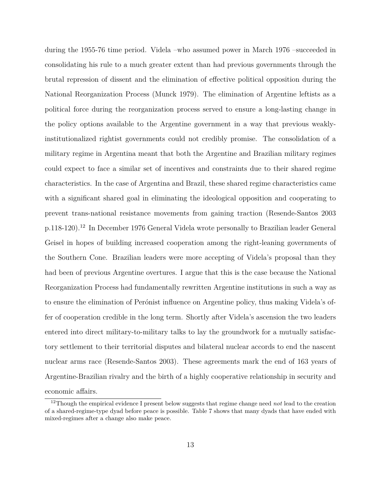during the 1955-76 time period. Videla –who assumed power in March 1976 –succeeded in consolidating his rule to a much greater extent than had previous governments through the brutal repression of dissent and the elimination of effective political opposition during the National Reorganization Process (Munck 1979). The elimination of Argentine leftists as a political force during the reorganization process served to ensure a long-lasting change in the policy options available to the Argentine government in a way that previous weaklyinstitutionalized rightist governments could not credibly promise. The consolidation of a military regime in Argentina meant that both the Argentine and Brazilian military regimes could expect to face a similar set of incentives and constraints due to their shared regime characteristics. In the case of Argentina and Brazil, these shared regime characteristics came with a significant shared goal in eliminating the ideological opposition and cooperating to prevent trans-national resistance movements from gaining traction (Resende-Santos 2003 p.118-120).<sup>12</sup> In December 1976 General Videla wrote personally to Brazilian leader General Geisel in hopes of building increased cooperation among the right-leaning governments of the Southern Cone. Brazilian leaders were more accepting of Videla's proposal than they had been of previous Argentine overtures. I argue that this is the case because the National Reorganization Process had fundamentally rewritten Argentine institutions in such a way as to ensure the elimination of Perónist influence on Argentine policy, thus making Videla's offer of cooperation credible in the long term. Shortly after Videla's ascension the two leaders entered into direct military-to-military talks to lay the groundwork for a mutually satisfactory settlement to their territorial disputes and bilateral nuclear accords to end the nascent nuclear arms race (Resende-Santos 2003). These agreements mark the end of 163 years of Argentine-Brazilian rivalry and the birth of a highly cooperative relationship in security and economic affairs.

<sup>12</sup>Though the empirical evidence I present below suggests that regime change need *not* lead to the creation of a shared-regime-type dyad before peace is possible. Table 7 shows that many dyads that have ended with mixed-regimes after a change also make peace.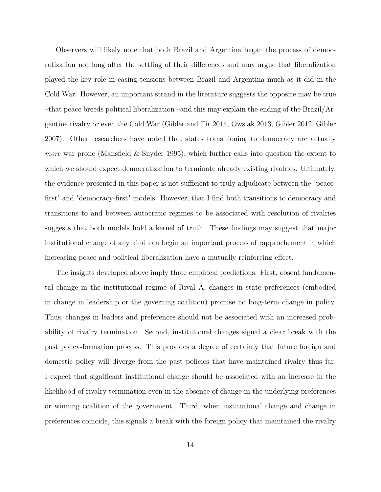Observers will likely note that both Brazil and Argentina began the process of democratization not long after the settling of their differences and may argue that liberalization played the key role in easing tensions between Brazil and Argentina much as it did in the Cold War. However, an important strand in the literature suggests the opposite may be true –that peace breeds political liberalization –and this may explain the ending of the Brazil/Argentine rivalry or even the Cold War (Gibler and Tir 2014, Owsiak 2013, Gibler 2012, Gibler 2007). Other researchers have noted that states transitioning to democracy are actually *more* war prone (Mansfield & Snyder 1995), which further calls into question the extent to which we should expect democratization to terminate already existing rivalries. Ultimately, the evidence presented in this paper is not sufficient to truly adjudicate between the "peacefirst" and "democracy-first" models. However, that I find both transitions to democracy and transitions to and between autocratic regimes to be associated with resolution of rivalries suggests that both models hold a kernel of truth. These findings may suggest that major institutional change of any kind can begin an important process of rapprochement in which increasing peace and political liberalization have a mutually reinforcing effect.

The insights developed above imply three empirical predictions. First, absent fundamental change in the institutional regime of Rival A, changes in state preferences (embodied in change in leadership or the governing coalition) promise no long-term change in policy. Thus, changes in leaders and preferences should not be associated with an increased probability of rivalry termination. Second, institutional changes signal a clear break with the past policy-formation process. This provides a degree of certainty that future foreign and domestic policy will diverge from the past policies that have maintained rivalry thus far. I expect that significant institutional change should be associated with an increase in the likelihood of rivalry termination even in the absence of change in the underlying preferences or winning coalition of the government. Third, when institutional change and change in preferences coincide, this signals a break with the foreign policy that maintained the rivalry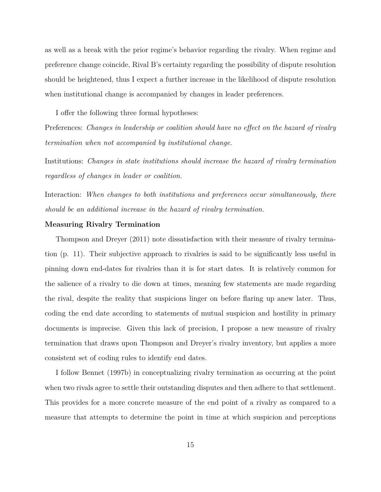as well as a break with the prior regime's behavior regarding the rivalry. When regime and preference change coincide, Rival B's certainty regarding the possibility of dispute resolution should be heightened, thus I expect a further increase in the likelihood of dispute resolution when institutional change is accompanied by changes in leader preferences.

I offer the following three formal hypotheses:

Preferences: *Changes in leadership or coalition should have no effect on the hazard of rivalry termination when not accompanied by institutional change.*

Institutions: *Changes in state institutions should increase the hazard of rivalry termination regardless of changes in leader or coalition.*

Interaction: *When changes to both institutions and preferences occur simultaneously, there should be an additional increase in the hazard of rivalry termination.*

#### **Measuring Rivalry Termination**

Thompson and Dreyer (2011) note dissatisfaction with their measure of rivalry termination (p. 11). Their subjective approach to rivalries is said to be significantly less useful in pinning down end-dates for rivalries than it is for start dates. It is relatively common for the salience of a rivalry to die down at times, meaning few statements are made regarding the rival, despite the reality that suspicions linger on before flaring up anew later. Thus, coding the end date according to statements of mutual suspicion and hostility in primary documents is imprecise. Given this lack of precision, I propose a new measure of rivalry termination that draws upon Thompson and Dreyer's rivalry inventory, but applies a more consistent set of coding rules to identify end dates.

I follow Bennet (1997b) in conceptualizing rivalry termination as occurring at the point when two rivals agree to settle their outstanding disputes and then adhere to that settlement. This provides for a more concrete measure of the end point of a rivalry as compared to a measure that attempts to determine the point in time at which suspicion and perceptions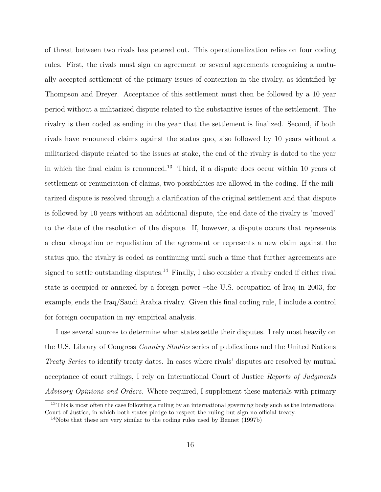of threat between two rivals has petered out. This operationalization relies on four coding rules. First, the rivals must sign an agreement or several agreements recognizing a mutually accepted settlement of the primary issues of contention in the rivalry, as identified by Thompson and Dreyer. Acceptance of this settlement must then be followed by a 10 year period without a militarized dispute related to the substantive issues of the settlement. The rivalry is then coded as ending in the year that the settlement is finalized. Second, if both rivals have renounced claims against the status quo, also followed by 10 years without a militarized dispute related to the issues at stake, the end of the rivalry is dated to the year in which the final claim is renounced.<sup>13</sup> Third, if a dispute does occur within 10 years of settlement or renunciation of claims, two possibilities are allowed in the coding. If the militarized dispute is resolved through a clarification of the original settlement and that dispute is followed by 10 years without an additional dispute, the end date of the rivalry is "moved" to the date of the resolution of the dispute. If, however, a dispute occurs that represents a clear abrogation or repudiation of the agreement or represents a new claim against the status quo, the rivalry is coded as continuing until such a time that further agreements are signed to settle outstanding disputes.<sup>14</sup> Finally, I also consider a rivalry ended if either rival state is occupied or annexed by a foreign power –the U.S. occupation of Iraq in 2003, for example, ends the Iraq/Saudi Arabia rivalry. Given this final coding rule, I include a control for foreign occupation in my empirical analysis.

I use several sources to determine when states settle their disputes. I rely most heavily on the U.S. Library of Congress *Country Studies* series of publications and the United Nations *Treaty Series* to identify treaty dates. In cases where rivals' disputes are resolved by mutual acceptance of court rulings, I rely on International Court of Justice *Reports of Judgments Advisory Opinions and Orders.* Where required, I supplement these materials with primary

<sup>&</sup>lt;sup>13</sup>This is most often the case following a ruling by an international governing body such as the International Court of Justice, in which both states pledge to respect the ruling but sign no official treaty.

<sup>14</sup>Note that these are very similar to the coding rules used by Bennet (1997b)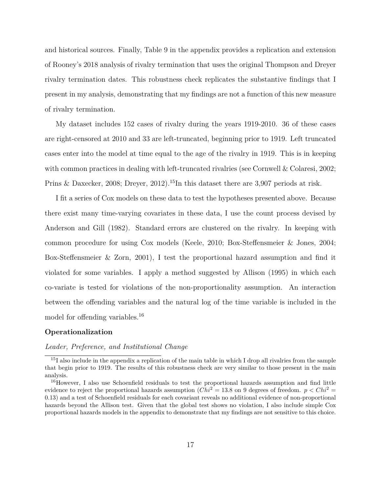and historical sources. Finally, Table 9 in the appendix provides a replication and extension of Rooney's 2018 analysis of rivalry termination that uses the original Thompson and Dreyer rivalry termination dates. This robustness check replicates the substantive findings that I present in my analysis, demonstrating that my findings are not a function of this new measure of rivalry termination.

My dataset includes 152 cases of rivalry during the years 1919-2010. 36 of these cases are right-censored at 2010 and 33 are left-truncated, beginning prior to 1919. Left truncated cases enter into the model at time equal to the age of the rivalry in 1919. This is in keeping with common practices in dealing with left-truncated rivalries (see Cornwell & Colaresi, 2002; Prins & Daxecker, 2008; Dreyer, 2012).<sup>15</sup>In this dataset there are 3,907 periods at risk.

I fit a series of Cox models on these data to test the hypotheses presented above. Because there exist many time-varying covariates in these data, I use the count process devised by Anderson and Gill (1982). Standard errors are clustered on the rivalry. In keeping with common procedure for using Cox models (Keele, 2010; Box-Steffensmeier & Jones, 2004; Box-Steffensmeier & Zorn, 2001), I test the proportional hazard assumption and find it violated for some variables. I apply a method suggested by Allison (1995) in which each co-variate is tested for violations of the non-proportionality assumption. An interaction between the offending variables and the natural log of the time variable is included in the model for offending variables.<sup>16</sup>

#### **Operationalization**

#### *Leader, Preference, and Institutional Change*

<sup>&</sup>lt;sup>15</sup>I also include in the appendix a replication of the main table in which I drop all rivalries from the sample that begin prior to 1919. The results of this robustness check are very similar to those present in the main analysis.

<sup>&</sup>lt;sup>16</sup>However, I also use Schoenfield residuals to test the proportional hazards assumption and find little evidence to reject the proportional hazards assumption  $(Chi^2 = 13.8$  on 9 degrees of freedom.  $p < Chi^2 =$ 0*.*13) and a test of Schoenfield residuals for each covariant reveals no additional evidence of non-proportional hazards beyond the Allison test. Given that the global test shows no violation, I also include simple Cox proportional hazards models in the appendix to demonstrate that my findings are not sensitive to this choice.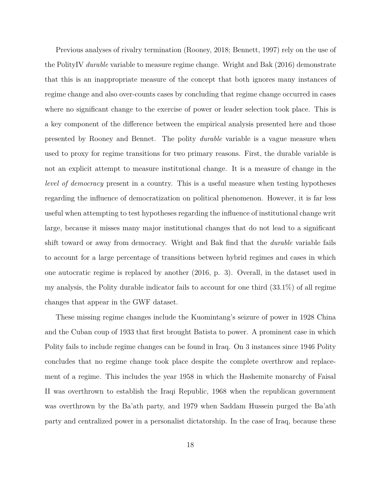Previous analyses of rivalry termination (Rooney, 2018; Bennett, 1997) rely on the use of the PolityIV *durable* variable to measure regime change. Wright and Bak (2016) demonstrate that this is an inappropriate measure of the concept that both ignores many instances of regime change and also over-counts cases by concluding that regime change occurred in cases where no significant change to the exercise of power or leader selection took place. This is a key component of the difference between the empirical analysis presented here and those presented by Rooney and Bennet. The polity *durable* variable is a vague measure when used to proxy for regime transitions for two primary reasons. First, the durable variable is not an explicit attempt to measure institutional change. It is a measure of change in the *level of democracy* present in a country. This is a useful measure when testing hypotheses regarding the influence of democratization on political phenomenon. However, it is far less useful when attempting to test hypotheses regarding the influence of institutional change writ large, because it misses many major institutional changes that do not lead to a significant shift toward or away from democracy. Wright and Bak find that the *durable* variable fails to account for a large percentage of transitions between hybrid regimes and cases in which one autocratic regime is replaced by another (2016, p. 3). Overall, in the dataset used in my analysis, the Polity durable indicator fails to account for one third (33.1%) of all regime changes that appear in the GWF dataset.

These missing regime changes include the Kuomintang's seizure of power in 1928 China and the Cuban coup of 1933 that first brought Batista to power. A prominent case in which Polity fails to include regime changes can be found in Iraq. On 3 instances since 1946 Polity concludes that no regime change took place despite the complete overthrow and replacement of a regime. This includes the year 1958 in which the Hashemite monarchy of Faisal II was overthrown to establish the Iraqi Republic, 1968 when the republican government was overthrown by the Ba'ath party, and 1979 when Saddam Hussein purged the Ba'ath party and centralized power in a personalist dictatorship. In the case of Iraq, because these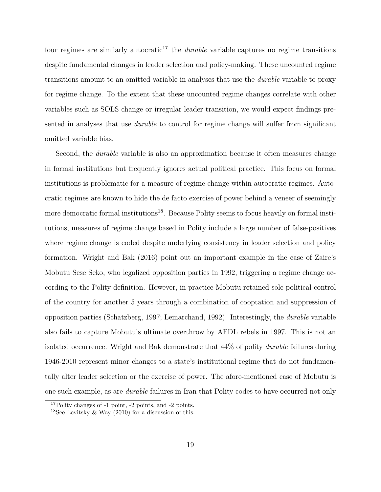four regimes are similarly autocratic<sup>17</sup> the *durable* variable captures no regime transitions despite fundamental changes in leader selection and policy-making. These uncounted regime transitions amount to an omitted variable in analyses that use the *durable* variable to proxy for regime change. To the extent that these uncounted regime changes correlate with other variables such as SOLS change or irregular leader transition, we would expect findings presented in analyses that use *durable* to control for regime change will suffer from significant omitted variable bias.

Second, the *durable* variable is also an approximation because it often measures change in formal institutions but frequently ignores actual political practice. This focus on formal institutions is problematic for a measure of regime change within autocratic regimes. Autocratic regimes are known to hide the de facto exercise of power behind a veneer of seemingly more democratic formal institutions<sup>18</sup>. Because Polity seems to focus heavily on formal institutions, measures of regime change based in Polity include a large number of false-positives where regime change is coded despite underlying consistency in leader selection and policy formation. Wright and Bak (2016) point out an important example in the case of Zaire's Mobutu Sese Seko, who legalized opposition parties in 1992, triggering a regime change according to the Polity definition. However, in practice Mobutu retained sole political control of the country for another 5 years through a combination of cooptation and suppression of opposition parties (Schatzberg, 1997; Lemarchand, 1992). Interestingly, the *durable* variable also fails to capture Mobutu's ultimate overthrow by AFDL rebels in 1997. This is not an isolated occurrence. Wright and Bak demonstrate that 44% of polity *durable* failures during 1946-2010 represent minor changes to a state's institutional regime that do not fundamentally alter leader selection or the exercise of power. The afore-mentioned case of Mobutu is one such example, as are *durable* failures in Iran that Polity codes to have occurred not only

<sup>17</sup>Polity changes of -1 point, -2 points, and -2 points.

<sup>&</sup>lt;sup>18</sup>See Levitsky & Way  $(2010)$  for a discussion of this.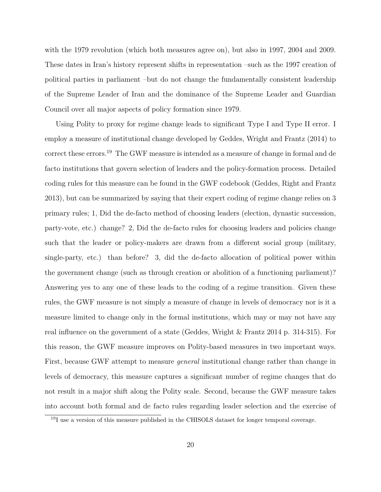with the 1979 revolution (which both measures agree on), but also in 1997, 2004 and 2009. These dates in Iran's history represent shifts in representation –such as the 1997 creation of political parties in parliament –but do not change the fundamentally consistent leadership of the Supreme Leader of Iran and the dominance of the Supreme Leader and Guardian Council over all major aspects of policy formation since 1979.

Using Polity to proxy for regime change leads to significant Type I and Type II error. I employ a measure of institutional change developed by Geddes, Wright and Frantz (2014) to correct these errors.<sup>19</sup> The GWF measure is intended as a measure of change in formal and de facto institutions that govern selection of leaders and the policy-formation process. Detailed coding rules for this measure can be found in the GWF codebook (Geddes, Right and Frantz 2013), but can be summarized by saying that their expert coding of regime change relies on 3 primary rules; 1, Did the de-facto method of choosing leaders (election, dynastic succession, party-vote, etc.) change? 2, Did the de-facto rules for choosing leaders and policies change such that the leader or policy-makers are drawn from a different social group (military, single-party, etc.) than before? 3, did the de-facto allocation of political power within the government change (such as through creation or abolition of a functioning parliament)? Answering yes to any one of these leads to the coding of a regime transition. Given these rules, the GWF measure is not simply a measure of change in levels of democracy nor is it a measure limited to change only in the formal institutions, which may or may not have any real influence on the government of a state (Geddes, Wright & Frantz 2014 p. 314-315). For this reason, the GWF measure improves on Polity-based measures in two important ways. First, because GWF attempt to measure *general* institutional change rather than change in levels of democracy, this measure captures a significant number of regime changes that do not result in a major shift along the Polity scale. Second, because the GWF measure takes into account both formal and de facto rules regarding leader selection and the exercise of

<sup>19</sup>I use a version of this measure published in the CHISOLS dataset for longer temporal coverage.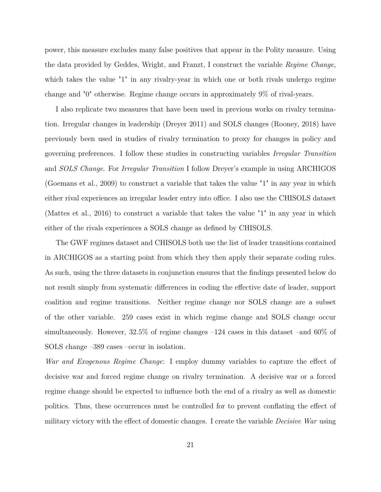power, this measure excludes many false positives that appear in the Polity measure. Using the data provided by Geddes, Wright, and Franzt, I construct the variable *Regime Change*, which takes the value "1" in any rivalry-year in which one or both rivals undergo regime change and "0" otherwise. Regime change occurs in approximately 9% of rival-years.

I also replicate two measures that have been used in previous works on rivalry termination. Irregular changes in leadership (Dreyer 2011) and SOLS changes (Rooney, 2018) have previously been used in studies of rivalry termination to proxy for changes in policy and governing preferences. I follow these studies in constructing variables *Irregular Transition* and *SOLS Change*. For *Irregular Transition* I follow Dreyer's example in using ARCHIGOS (Goemans et al., 2009) to construct a variable that takes the value "1" in any year in which either rival experiences an irregular leader entry into office. I also use the CHISOLS dataset (Mattes et al., 2016) to construct a variable that takes the value "1" in any year in which either of the rivals experiences a SOLS change as defined by CHISOLS.

The GWF regimes dataset and CHISOLS both use the list of leader transitions contained in ARCHIGOS as a starting point from which they then apply their separate coding rules. As such, using the three datasets in conjunction ensures that the findings presented below do not result simply from systematic differences in coding the effective date of leader, support coalition and regime transitions. Neither regime change nor SOLS change are a subset of the other variable. 259 cases exist in which regime change and SOLS change occur simultaneously. However, 32.5% of regime changes –124 cases in this dataset –and 60% of SOLS change –389 cases –occur in isolation.

*War and Exogenous Regime Change*: I employ dummy variables to capture the effect of decisive war and forced regime change on rivalry termination. A decisive war or a forced regime change should be expected to influence both the end of a rivalry as well as domestic politics. Thus, these occurrences must be controlled for to prevent conflating the effect of military victory with the effect of domestic changes. I create the variable *Decisive War* using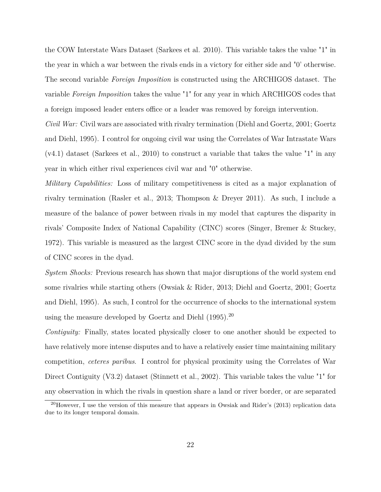the COW Interstate Wars Dataset (Sarkees et al. 2010). This variable takes the value "1" in the year in which a war between the rivals ends in a victory for either side and "0' otherwise. The second variable *Foreign Imposition* is constructed using the ARCHIGOS dataset. The variable *Foreign Imposition* takes the value "1" for any year in which ARCHIGOS codes that a foreign imposed leader enters office or a leader was removed by foreign intervention.

*Civil War:* Civil wars are associated with rivalry termination (Diehl and Goertz, 2001; Goertz and Diehl, 1995). I control for ongoing civil war using the Correlates of War Intrastate Wars  $(v4.1)$  dataset (Sarkees et al., 2010) to construct a variable that takes the value "1" in any year in which either rival experiences civil war and "0" otherwise.

*Military Capabilities:* Loss of military competitiveness is cited as a major explanation of rivalry termination (Rasler et al., 2013; Thompson & Dreyer 2011). As such, I include a measure of the balance of power between rivals in my model that captures the disparity in rivals' Composite Index of National Capability (CINC) scores (Singer, Bremer & Stuckey, 1972). This variable is measured as the largest CINC score in the dyad divided by the sum of CINC scores in the dyad.

*System Shocks:* Previous research has shown that major disruptions of the world system end some rivalries while starting others (Owsiak & Rider, 2013; Diehl and Goertz, 2001; Goertz and Diehl, 1995). As such, I control for the occurrence of shocks to the international system using the measure developed by Goertz and Diehl  $(1995)$ .<sup>20</sup>

*Contiguity:* Finally, states located physically closer to one another should be expected to have relatively more intense disputes and to have a relatively easier time maintaining military competition, *ceteres paribus*. I control for physical proximity using the Correlates of War Direct Contiguity (V3.2) dataset (Stinnett et al., 2002). This variable takes the value "1" for any observation in which the rivals in question share a land or river border, or are separated

<sup>20</sup>However, I use the version of this measure that appears in Owsiak and Rider's (2013) replication data due to its longer temporal domain.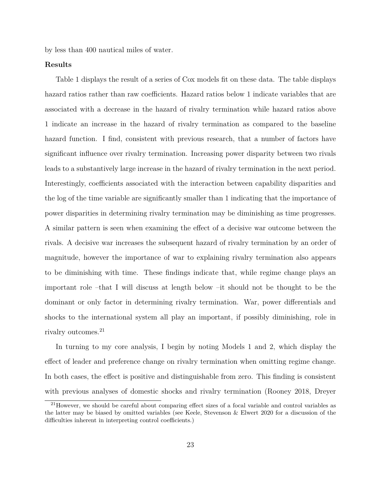by less than 400 nautical miles of water.

#### **Results**

Table 1 displays the result of a series of Cox models fit on these data. The table displays hazard ratios rather than raw coefficients. Hazard ratios below 1 indicate variables that are associated with a decrease in the hazard of rivalry termination while hazard ratios above 1 indicate an increase in the hazard of rivalry termination as compared to the baseline hazard function. I find, consistent with previous research, that a number of factors have significant influence over rivalry termination. Increasing power disparity between two rivals leads to a substantively large increase in the hazard of rivalry termination in the next period. Interestingly, coefficients associated with the interaction between capability disparities and the log of the time variable are significantly smaller than 1 indicating that the importance of power disparities in determining rivalry termination may be diminishing as time progresses. A similar pattern is seen when examining the effect of a decisive war outcome between the rivals. A decisive war increases the subsequent hazard of rivalry termination by an order of magnitude, however the importance of war to explaining rivalry termination also appears to be diminishing with time. These findings indicate that, while regime change plays an important role –that I will discuss at length below –it should not be thought to be the dominant or only factor in determining rivalry termination. War, power differentials and shocks to the international system all play an important, if possibly diminishing, role in rivalry outcomes.<sup>21</sup>

In turning to my core analysis, I begin by noting Models 1 and 2, which display the effect of leader and preference change on rivalry termination when omitting regime change. In both cases, the effect is positive and distinguishable from zero. This finding is consistent with previous analyses of domestic shocks and rivalry termination (Rooney 2018, Dreyer

<sup>&</sup>lt;sup>21</sup>However, we should be careful about comparing effect sizes of a focal variable and control variables as the latter may be biased by omitted variables (see Keele, Stevenson & Elwert 2020 for a discussion of the difficulties inherent in interpreting control coefficients.)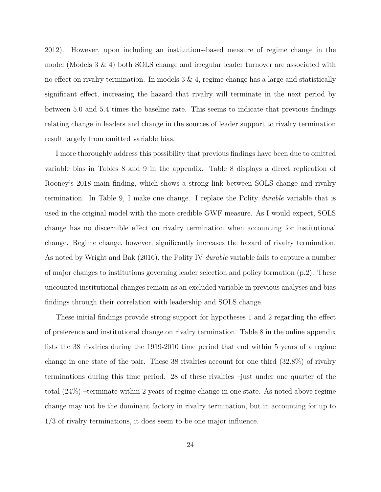2012). However, upon including an institutions-based measure of regime change in the model (Models  $3 \& 4$ ) both SOLS change and irregular leader turnover are associated with no effect on rivalry termination. In models  $3 \& 4$ , regime change has a large and statistically significant effect, increasing the hazard that rivalry will terminate in the next period by between 5.0 and 5.4 times the baseline rate. This seems to indicate that previous findings relating change in leaders and change in the sources of leader support to rivalry termination result largely from omitted variable bias.

I more thoroughly address this possibility that previous findings have been due to omitted variable bias in Tables 8 and 9 in the appendix. Table 8 displays a direct replication of Rooney's 2018 main finding, which shows a strong link between SOLS change and rivalry termination. In Table 9, I make one change. I replace the Polity *durable* variable that is used in the original model with the more credible GWF measure. As I would expect, SOLS change has no discernible effect on rivalry termination when accounting for institutional change. Regime change, however, significantly increases the hazard of rivalry termination. As noted by Wright and Bak (2016), the Polity IV *durable* variable fails to capture a number of major changes to institutions governing leader selection and policy formation (p.2). These uncounted institutional changes remain as an excluded variable in previous analyses and bias findings through their correlation with leadership and SOLS change.

These initial findings provide strong support for hypotheses 1 and 2 regarding the effect of preference and institutional change on rivalry termination. Table 8 in the online appendix lists the 38 rivalries during the 1919-2010 time period that end within 5 years of a regime change in one state of the pair. These 38 rivalries account for one third (32.8%) of rivalry terminations during this time period. 28 of these rivalries –just under one quarter of the total (24%) –terminate within 2 years of regime change in one state. As noted above regime change may not be the dominant factory in rivalry termination, but in accounting for up to 1/3 of rivalry terminations, it does seem to be one major influence.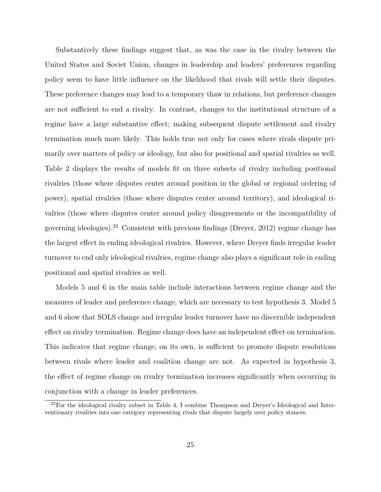Substantively these findings suggest that, as was the case in the rivalry between the United States and Soviet Union, changes in leadership and leaders' preferences regarding policy seem to have little influence on the likelihood that rivals will settle their disputes. These preference changes may lead to a temporary thaw in relations, but preference changes are not sufficient to end a rivalry. In contrast, changes to the institutional structure of a regime have a large substantive effect; making subsequent dispute settlement and rivalry termination much more likely. This holds true not only for cases where rivals dispute primarily over matters of policy or ideology, but also for positional and spatial rivalries as well. Table 2 displays the results of models fit on three subsets of rivalry including positional rivalries (those where disputes center around position in the global or regional ordering of power), spatial rivalries (those where disputes center around territory), and ideological rivalries (those where disputes center around policy disagreements or the incompatibility of governing ideologies).<sup>22</sup> Consistent with previous findings (Dreyer, 2012) regime change has the largest effect in ending ideological rivalries. However, where Dreyer finds irregular leader turnover to end only ideological rivalries, regime change also plays a significant role in ending positional and spatial rivalries as well.

Models 5 and 6 in the main table include interactions between regime change and the measures of leader and preference change, which are necessary to test hypothesis 3. Model 5 and 6 show that SOLS change and irregular leader turnover have no discernible independent effect on rivalry termination. Regime change does have an independent effect on termination. This indicates that regime change, on its own, is sufficient to promote dispute resolutions between rivals where leader and coalition change are not. As expected in hypothesis 3, the effect of regime change on rivalry termination increases significantly when occurring in conjunction with a change in leader preferences.

 $22$ For the ideological rivalry subset in Table 4, I combine Thompson and Dreyer's Ideological and Interventionary rivalries into one category representing rivals that dispute largely over policy stances.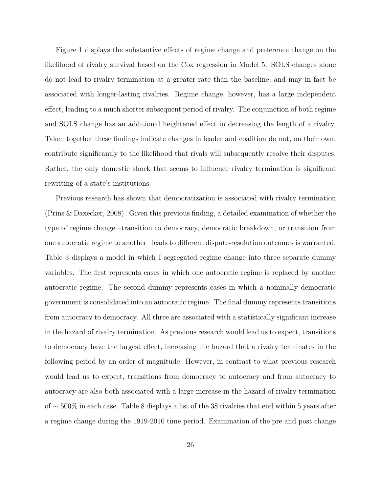Figure 1 displays the substantive effects of regime change and preference change on the likelihood of rivalry survival based on the Cox regression in Model 5. SOLS changes alone do not lead to rivalry termination at a greater rate than the baseline, and may in fact be associated with longer-lasting rivalries. Regime change, however, has a large independent effect, leading to a much shorter subsequent period of rivalry. The conjunction of both regime and SOLS change has an additional heightened effect in decreasing the length of a rivalry. Taken together these findings indicate changes in leader and coalition do not, on their own, contribute significantly to the likelihood that rivals will subsequently resolve their disputes. Rather, the only domestic shock that seems to influence rivalry termination is significant rewriting of a state's institutions.

Previous research has shown that democratization is associated with rivalry termination (Prins & Daxecker, 2008). Given this previous finding, a detailed examination of whether the type of regime change –transition to democracy, democratic breakdown, or transition from one autocratic regime to another –leads to different dispute-resolution outcomes is warranted. Table 3 displays a model in which I segregated regime change into three separate dummy variables. The first represents cases in which one autocratic regime is replaced by another autocratic regime. The second dummy represents cases in which a nominally democratic government is consolidated into an autocratic regime. The final dummy represents transitions from autocracy to democracy. All three are associated with a statistically significant increase in the hazard of rivalry termination. As previous research would lead us to expect, transitions to democracy have the largest effect, increasing the hazard that a rivalry terminates in the following period by an order of magnitude. However, in contrast to what previous research would lead us to expect, transitions from democracy to autocracy and from autocracy to autocracy are also both associated with a large increase in the hazard of rivalry termination of ∼ 500% in each case. Table 8 displays a list of the 38 rivalries that end within 5 years after a regime change during the 1919-2010 time period. Examination of the pre and post change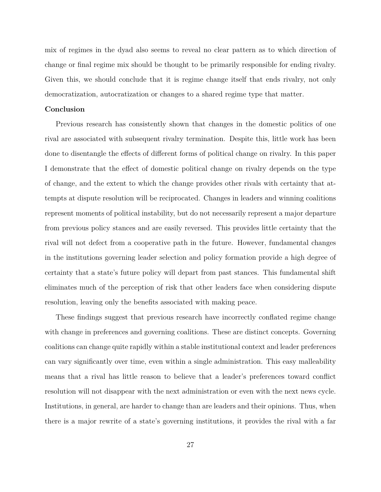mix of regimes in the dyad also seems to reveal no clear pattern as to which direction of change or final regime mix should be thought to be primarily responsible for ending rivalry. Given this, we should conclude that it is regime change itself that ends rivalry, not only democratization, autocratization or changes to a shared regime type that matter.

#### **Conclusion**

Previous research has consistently shown that changes in the domestic politics of one rival are associated with subsequent rivalry termination. Despite this, little work has been done to disentangle the effects of different forms of political change on rivalry. In this paper I demonstrate that the effect of domestic political change on rivalry depends on the type of change, and the extent to which the change provides other rivals with certainty that attempts at dispute resolution will be reciprocated. Changes in leaders and winning coalitions represent moments of political instability, but do not necessarily represent a major departure from previous policy stances and are easily reversed. This provides little certainty that the rival will not defect from a cooperative path in the future. However, fundamental changes in the institutions governing leader selection and policy formation provide a high degree of certainty that a state's future policy will depart from past stances. This fundamental shift eliminates much of the perception of risk that other leaders face when considering dispute resolution, leaving only the benefits associated with making peace.

These findings suggest that previous research have incorrectly conflated regime change with change in preferences and governing coalitions. These are distinct concepts. Governing coalitions can change quite rapidly within a stable institutional context and leader preferences can vary significantly over time, even within a single administration. This easy malleability means that a rival has little reason to believe that a leader's preferences toward conflict resolution will not disappear with the next administration or even with the next news cycle. Institutions, in general, are harder to change than are leaders and their opinions. Thus, when there is a major rewrite of a state's governing institutions, it provides the rival with a far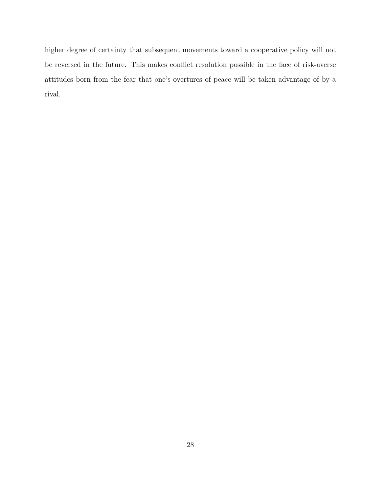higher degree of certainty that subsequent movements toward a cooperative policy will not be reversed in the future. This makes conflict resolution possible in the face of risk-averse attitudes born from the fear that one's overtures of peace will be taken advantage of by a rival.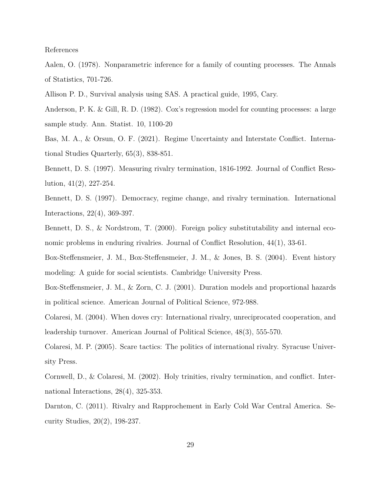References

Aalen, O. (1978). Nonparametric inference for a family of counting processes. The Annals of Statistics, 701-726.

Allison P. D., Survival analysis using SAS. A practical guide, 1995, Cary.

Anderson, P. K. & Gill, R. D. (1982). Cox's regression model for counting processes: a large sample study. Ann. Statist. 10, 1100-20

Bas, M. A., & Orsun, O. F. (2021). Regime Uncertainty and Interstate Conflict. International Studies Quarterly, 65(3), 838-851.

Bennett, D. S. (1997). Measuring rivalry termination, 1816-1992. Journal of Conflict Resolution, 41(2), 227-254.

Bennett, D. S. (1997). Democracy, regime change, and rivalry termination. International Interactions, 22(4), 369-397.

Bennett, D. S., & Nordstrom, T. (2000). Foreign policy substitutability and internal economic problems in enduring rivalries. Journal of Conflict Resolution, 44(1), 33-61.

Box-Steffensmeier, J. M., Box-Steffensmeier, J. M., & Jones, B. S. (2004). Event history modeling: A guide for social scientists. Cambridge University Press.

Box-Steffensmeier, J. M., & Zorn, C. J. (2001). Duration models and proportional hazards in political science. American Journal of Political Science, 972-988.

Colaresi, M. (2004). When doves cry: International rivalry, unreciprocated cooperation, and leadership turnover. American Journal of Political Science, 48(3), 555-570.

Colaresi, M. P. (2005). Scare tactics: The politics of international rivalry. Syracuse University Press.

Cornwell, D., & Colaresi, M. (2002). Holy trinities, rivalry termination, and conflict. International Interactions, 28(4), 325-353.

Darnton, C. (2011). Rivalry and Rapprochement in Early Cold War Central America. Security Studies, 20(2), 198-237.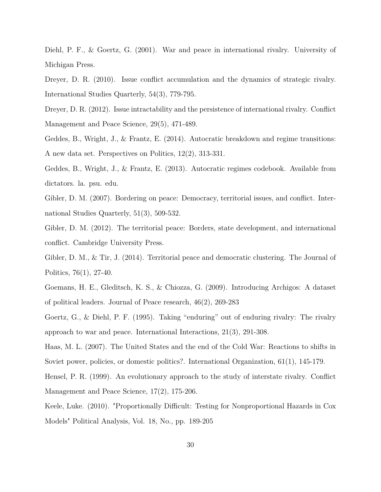Diehl, P. F., & Goertz, G. (2001). War and peace in international rivalry. University of Michigan Press.

Dreyer, D. R. (2010). Issue conflict accumulation and the dynamics of strategic rivalry. International Studies Quarterly, 54(3), 779-795.

Dreyer, D. R. (2012). Issue intractability and the persistence of international rivalry. Conflict Management and Peace Science, 29(5), 471-489.

Geddes, B., Wright, J., & Frantz, E. (2014). Autocratic breakdown and regime transitions: A new data set. Perspectives on Politics, 12(2), 313-331.

Geddes, B., Wright, J., & Frantz, E. (2013). Autocratic regimes codebook. Available from dictators. la. psu. edu.

Gibler, D. M. (2007). Bordering on peace: Democracy, territorial issues, and conflict. International Studies Quarterly, 51(3), 509-532.

Gibler, D. M. (2012). The territorial peace: Borders, state development, and international conflict. Cambridge University Press.

Gibler, D. M., & Tir, J. (2014). Territorial peace and democratic clustering. The Journal of Politics, 76(1), 27-40.

Goemans, H. E., Gleditsch, K. S., & Chiozza, G. (2009). Introducing Archigos: A dataset of political leaders. Journal of Peace research, 46(2), 269-283

Goertz, G., & Diehl, P. F. (1995). Taking "enduring" out of enduring rivalry: The rivalry approach to war and peace. International Interactions, 21(3), 291-308.

Haas, M. L. (2007). The United States and the end of the Cold War: Reactions to shifts in Soviet power, policies, or domestic politics?. International Organization, 61(1), 145-179.

Hensel, P. R. (1999). An evolutionary approach to the study of interstate rivalry. Conflict Management and Peace Science, 17(2), 175-206.

Keele, Luke. (2010). "Proportionally Difficult: Testing for Nonproportional Hazards in Cox Models" Political Analysis, Vol. 18, No., pp. 189-205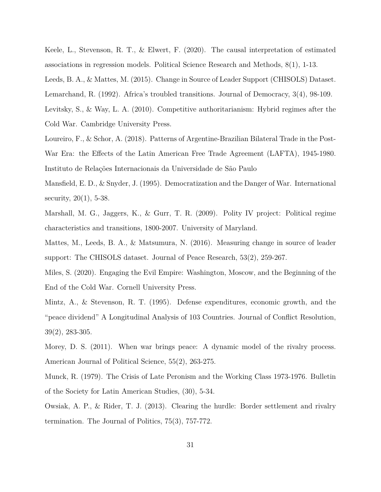Keele, L., Stevenson, R. T., & Elwert, F. (2020). The causal interpretation of estimated associations in regression models. Political Science Research and Methods, 8(1), 1-13.

Leeds, B. A., & Mattes, M. (2015). Change in Source of Leader Support (CHISOLS) Dataset. Lemarchand, R. (1992). Africa's troubled transitions. Journal of Democracy, 3(4), 98-109. Levitsky, S., & Way, L. A. (2010). Competitive authoritarianism: Hybrid regimes after the Cold War. Cambridge University Press.

Loureiro, F., & Schor, A. (2018). Patterns of Argentine-Brazilian Bilateral Trade in the Post-War Era: the Effects of the Latin American Free Trade Agreement (LAFTA), 1945-1980. Instituto de Relações Internacionais da Universidade de São Paulo

Mansfield, E. D., & Snyder, J. (1995). Democratization and the Danger of War. International security, 20(1), 5-38.

Marshall, M. G., Jaggers, K., & Gurr, T. R. (2009). Polity IV project: Political regime characteristics and transitions, 1800-2007. University of Maryland.

Mattes, M., Leeds, B. A., & Matsumura, N. (2016). Measuring change in source of leader support: The CHISOLS dataset. Journal of Peace Research, 53(2), 259-267.

Miles, S. (2020). Engaging the Evil Empire: Washington, Moscow, and the Beginning of the End of the Cold War. Cornell University Press.

Mintz, A., & Stevenson, R. T. (1995). Defense expenditures, economic growth, and the "peace dividend" A Longitudinal Analysis of 103 Countries. Journal of Conflict Resolution, 39(2), 283-305.

Morey, D. S. (2011). When war brings peace: A dynamic model of the rivalry process. American Journal of Political Science, 55(2), 263-275.

Munck, R. (1979). The Crisis of Late Peronism and the Working Class 1973-1976. Bulletin of the Society for Latin American Studies, (30), 5-34.

Owsiak, A. P., & Rider, T. J. (2013). Clearing the hurdle: Border settlement and rivalry termination. The Journal of Politics, 75(3), 757-772.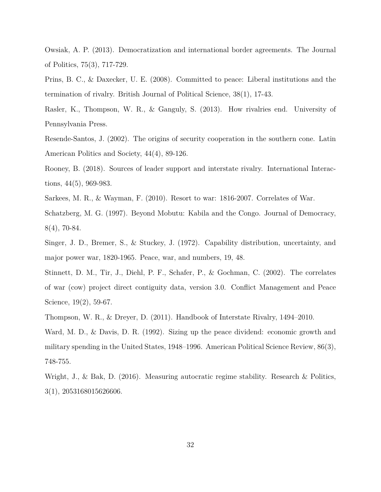Owsiak, A. P. (2013). Democratization and international border agreements. The Journal of Politics, 75(3), 717-729.

Prins, B. C., & Daxecker, U. E. (2008). Committed to peace: Liberal institutions and the termination of rivalry. British Journal of Political Science, 38(1), 17-43.

Rasler, K., Thompson, W. R., & Ganguly, S. (2013). How rivalries end. University of Pennsylvania Press.

Resende-Santos, J. (2002). The origins of security cooperation in the southern cone. Latin American Politics and Society, 44(4), 89-126.

Rooney, B. (2018). Sources of leader support and interstate rivalry. International Interactions, 44(5), 969-983.

Sarkees, M. R., & Wayman, F. (2010). Resort to war: 1816-2007. Correlates of War.

Schatzberg, M. G. (1997). Beyond Mobutu: Kabila and the Congo. Journal of Democracy, 8(4), 70-84.

Singer, J. D., Bremer, S., & Stuckey, J. (1972). Capability distribution, uncertainty, and major power war, 1820-1965. Peace, war, and numbers, 19, 48.

Stinnett, D. M., Tir, J., Diehl, P. F., Schafer, P., & Gochman, C. (2002). The correlates of war (cow) project direct contiguity data, version 3.0. Conflict Management and Peace Science, 19(2), 59-67.

Thompson, W. R., & Dreyer, D. (2011). Handbook of Interstate Rivalry, 1494–2010.

Ward, M. D., & Davis, D. R. (1992). Sizing up the peace dividend: economic growth and military spending in the United States, 1948–1996. American Political Science Review, 86(3), 748-755.

Wright, J., & Bak, D. (2016). Measuring autocratic regime stability. Research & Politics, 3(1), 2053168015626606.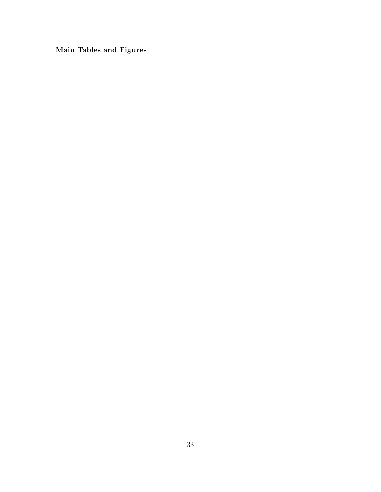**Main Tables and Figures**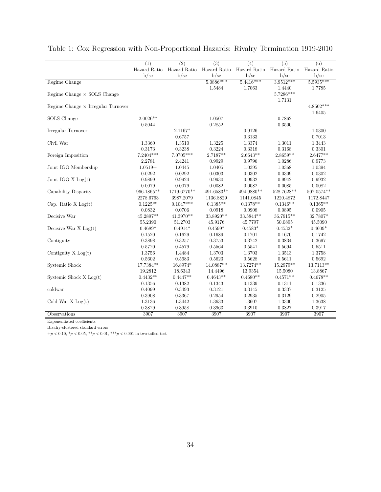|                                           | (1)          | $\overline{(2)}$ | $\overline{(3)}$ | (4)          | $\overline{(5)}$ | $\overline{(6)}$ |
|-------------------------------------------|--------------|------------------|------------------|--------------|------------------|------------------|
|                                           | Hazard Ratio | Hazard Ratio     | Hazard Ratio     | Hazard Ratio | Hazard Ratio     | Hazard Ratio     |
|                                           | b/sec        | b/sec            | b/sec            | b/sec        | b/sec            | $b$ /se          |
| Regime Change                             |              |                  | $5.0886***$      | $5.4416***$  | $3.9512***$      | 5.5935***        |
|                                           |              |                  | 1.5484           | 1.7063       | 1.4440           | 1.7785           |
| Regime Change $\times$ SOLS Change        |              |                  |                  |              | 5.7286***        |                  |
|                                           |              |                  |                  |              | 1.7131           |                  |
| Regime Change $\times$ Irregular Turnover |              |                  |                  |              |                  | $4.8502***$      |
|                                           |              |                  |                  |              |                  | 1.6405           |
| SOLS Change                               | $2.0026**$   |                  | 1.0507           |              | 0.7862           |                  |
|                                           | 0.5044       |                  | 0.2852           |              | 0.3500           |                  |
| Irregular Turnover                        |              | 2.1167*          |                  | 0.9126       |                  | 1.0300           |
|                                           |              | 0.6757           |                  | 0.3133       |                  | 0.7013           |
| Civil War                                 | 1.3360       | 1.3510           | 1.3225           | 1.3374       | 1.3011           | 1.3443           |
|                                           | 0.3173       | 0.3238           | 0.3224           | 0.3318       | 0.3168           | 0.3301           |
| Foreign Imposition                        | 7.2404***    | 7.0705***        | 2.7187**         | $2.6643**$   | $2.8659**$       | $2.6477**$       |
|                                           | 2.2781       | 2.4241           | 0.9929           | 0.9796       | 1.0286           | 0.9773           |
| Joint IGO Membership                      | $1.0519+$    | 1.0445           | 1.0405           | 1.0395       | 1.0368           | 1.0394           |
|                                           | 0.0292       | 0.0292           | 0.0303           | 0.0302       | 0.0309           | 0.0302           |
| Joint IGO $X$ Log(t)                      | 0.9899       | 0.9924           | 0.9930           | 0.9932       | 0.9942           | 0.9932           |
|                                           | 0.0079       | 0.0079           | 0.0082           | 0.0082       | 0.0085           | 0.0082           |
| Capability Disparity                      | 966.1865**   | 1719.6770**      | $491.6583**$     | 494.9880**   | 528.7628**       | $507.0574**$     |
|                                           | 2278.6763    | 3987.2079        | 1136.8829        | 1141.0845    | 1220.4872        | 1172.8447        |
| Cap. Ratio $X Log(t)$                     | $0.1225**$   | $0.1047***$      | $0.1385**$       | $0.1378**$   | $0.1346**$       | $0.1365**$       |
|                                           | 0.0832       | 0.0706           | 0.0918           | 0.0908       | 0.0895           | 0.0905           |
| Decisive War                              | 45.2897**    | 41.3970**        | 33.8920**        | 33.5844**    | 36.7915**        | 32.7807*         |
|                                           | 55.2390      | 51.2703          | 45.9176          | 45.7797      | 50.0895          | 45.5090          |
| Decisive War $X$ Log(t)                   | $0.4689*$    | $0.4914*$        | $0.4599*$        | $0.4583*$    | $0.4532*$        | $0.4609*$        |
|                                           | 0.1520       | 0.1629           | 0.1689           | 0.1701       | 0.1670           | 0.1742           |
| Contiguity                                | 0.3898       | 0.3257           | 0.3753           | 0.3742       | 0.3834           | 0.3697           |
|                                           | 0.5720       | 0.4579           | 0.5564           | 0.5541       | 0.5694           | 0.5511           |
| Contiguity X Log(t)                       | 1.3756       | 1.4484           | 1.3703           | 1.3703       | 1.3513           | 1.3758           |
|                                           | 0.5602       | 0.5683           | 0.5623           | 0.5628       | 0.5611           | 0.5692           |
| Systemic Shock                            | 17.7384**    | 16.8974*         | 14.0887**        | 13.7274**    | 15.2979**        | 13.7113**        |
|                                           | 19.2812      | 18.6343          | 14.4496          | 13.9354      | 15.5080          | 13.8867          |
| Systemic Shock $X Log(t)$                 | $0.4432**$   | $0.4447**$       | $0.4643**$       | $0.4680**$   | $0.4571**$       | $0.4678**$       |
|                                           | 0.1356       | 0.1382           | 0.1343           | 0.1339       | 0.1311           | 0.1336           |
| coldwar                                   | 0.4099       | 0.3493           | 0.3121           | 0.3145       | 0.3337           | 0.3125           |
|                                           | 0.3908       | 0.3367           | 0.2954           | 0.2935       | 0.3129           | 0.2905           |
| Cold War $X Log(t)$                       | 1.3136       | 1.3442           | 1.3633           | 1.3607       | 1.3300           | 1.3638           |
|                                           | 0.3829       | 0.3958           | 0.3963           | 0.3910       | 0.3827           | 0.3917           |
| Observations                              | 3907         | 3907             | 3907             | 3907         | 3907             | 3907             |

# Table 1: Cox Regression with Non-Proportional Hazards: Rivalry Termination 1919-2010

Exponentiated coefficients

Rivalry-clustered standard errors

 $+p < 0.10, \, {}^*p < 0.05, \, {}^{**}p < 0.01, \, {}^{***}p < 0.001$  in two-tailed test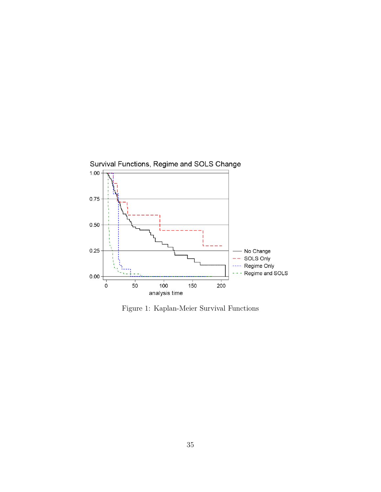

Figure 1: Kaplan-Meier Survival Functions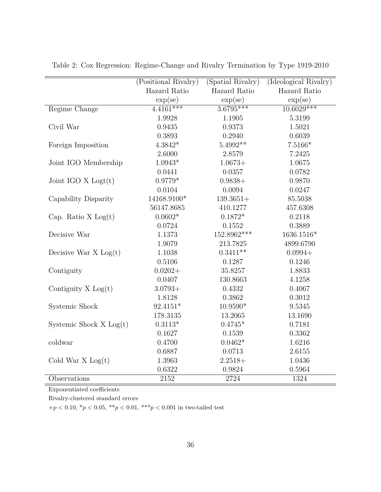|                           | (Positional Rivalry) | (Spatial Rivalry) | (Ideological Rivalry) |
|---------------------------|----------------------|-------------------|-----------------------|
|                           | Hazard Ratio         | Hazard Ratio      | Hazard Ratio          |
|                           | $\exp(\text{se})$    | $\exp(\text{se})$ | $\exp(\text{se})$     |
| Regime Change             | $4.4161***$          | $3.6795***$       | $10.6029***$          |
|                           | 1.9928               | 1.1905            | 5.3199                |
| Civil War                 | 0.9435               | 0.9373            | 1.5021                |
|                           | 0.3893               | 0.2940            | 0.6039                |
| Foreign Imposition        | $4.3842*$            | 5.4992**          | $7.5166*$             |
|                           | 2.6000               | 2.8579            | 7.2425                |
| Joint IGO Membership      | $1.0943*$            | $1.0673+$         | 1.0675                |
|                           | 0.0441               | 0.0357            | 0.0782                |
| Joint IGO $X$ Logt $(t)$  | $0.9779*$            | $0.9838+$         | 0.9870                |
|                           | 0.0104               | 0.0094            | 0.0247                |
| Capability Disparity      | 14168.9100*          | $139.3651+$       | 85.5038               |
|                           | 56147.8685           | 410.1277          | 457.6308              |
| Cap. Ratio $X Log(t)$     | $0.0602*$            | $0.1872*$         | 0.2118                |
|                           | 0.0724               | 0.1552            | 0.3889                |
| Decisive War              | 1.1373               | 152.8962***       | 1636.1516*            |
|                           | 1.9079               | 213.7825          | 4899.6790             |
| Decisive War $X$ Log(t)   | 1.1038               | $0.3411**$        | $0.0994+$             |
|                           | 0.5106               | 0.1287            | 0.1246                |
| Contiguity                | $0.0202+$            | 35.8257           | 1.8833                |
|                           | 0.0407               | 130.8663          | 4.1258                |
| Contiguity $X Log(t)$     | $3.0793+$            | 0.4332            | 0.4067                |
|                           | 1.8128               | 0.3862            | 0.3012                |
| Systemic Shock            | 92.4151*             | 10.9590*          | 9.5345                |
|                           | 178.3135             | 13.2065           | 13.1690               |
| Systemic Shock $X Log(t)$ | $0.3113*$            | $0.4745*$         | 0.7181                |
|                           | 0.1627               | 0.1539            | 0.3362                |
| coldwar                   | 0.4700               | $0.0462*$         | 1.6216                |
|                           | 0.6887               | 0.0713            | 2.6155                |
| Cold War $X$ Log $(t)$    | 1.3963               | $2.2518+$         | 1.0436                |
|                           | 0.6322               | 0.9824            | 0.5964                |
| Observations              | 2152                 | 2724              | 1324                  |

Table 2: Cox Regression: Regime-Change and Rivalry Termination by Type 1919-2010

Exponentiated coefficients

Rivalry-clustered standard errors

 $+p < 0.10, \, {}^*p < 0.05, \, {}^{**}p < 0.01, \, {}^{***}p < 0.001$  in two-tailed test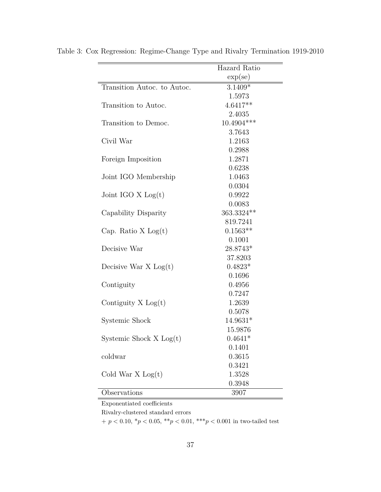|                             | Hazard Ratio      |
|-----------------------------|-------------------|
|                             | $\exp(\text{se})$ |
| Transition Autoc. to Autoc. | $3.1409*$         |
|                             | 1.5973            |
| Transition to Autoc.        | $4.6417**$        |
|                             | 2.4035            |
| Transition to Democ.        | $10.4904***$      |
|                             | 3.7643            |
| Civil War                   | 1.2163            |
|                             | 0.2988            |
| Foreign Imposition          | 1.2871            |
|                             | 0.6238            |
| Joint IGO Membership        | 1.0463            |
|                             | 0.0304            |
| Joint IGO $X$ Log(t)        | 0.9922            |
|                             | 0.0083            |
| Capability Disparity        | 363.3324 **       |
|                             | 819.7241          |
| Cap. Ratio $X$ Log $(t)$    | $0.1563**$        |
|                             | 0.1001            |
| Decisive War                | 28.8743*          |
|                             | 37.8203           |
| Decisive War $X$ Log $(t)$  | $0.4823*$         |
|                             | 0.1696            |
| Contiguity                  | 0.4956            |
|                             | 0.7247            |
| Contiguity $X Log(t)$       | 1.2639            |
|                             | 0.5078            |
| Systemic Shock              | 14.9631*          |
|                             | 15.9876           |
| Systemic Shock $X Log(t)$   | $0.4641*$         |
|                             | 0.1401            |
| coldwar                     | 0.3615            |
|                             | 0.3421            |
| Cold War $X Log(t)$         | 1.3528            |
|                             | 0.3948            |
| Observations                | 3907              |

Table 3: Cox Regression: Regime-Change Type and Rivalry Termination 1919-2010

Exponentiated coefficients

Rivalry-clustered standard errors

 $+$   $p < 0.10, \, {}^*p < 0.05, \, {}^*{}^*p < 0.01, \, {}^*{}^*{}^p < 0.001$  in two-tailed test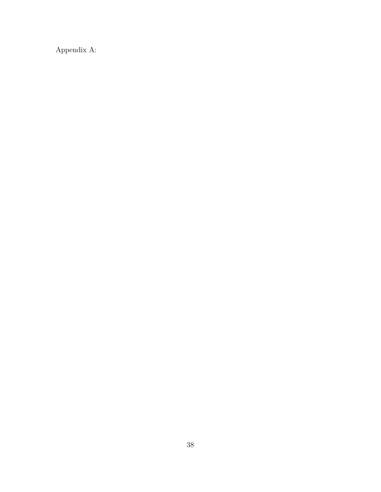Appendix A: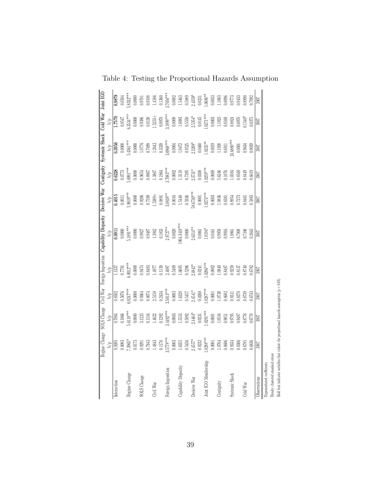|                                                                                                                                                                  |                                                                                                              |                                                                                                                                       |                                                                                                                                                                     |                                                                                                               | Regime Change SOLS Change Civil War Foreign Imposition Capability Disparity Decisive War Contiguity Systemic Shock Cold War Joint IGO |                                                                                                                                                                                                                                                                                                                                                                  |                                                                                                                                                                                     |                                                                                                                                                                                                                                                                                                                                                                                 |                                                                                                             |                                                                                                                                                                     |
|------------------------------------------------------------------------------------------------------------------------------------------------------------------|--------------------------------------------------------------------------------------------------------------|---------------------------------------------------------------------------------------------------------------------------------------|---------------------------------------------------------------------------------------------------------------------------------------------------------------------|---------------------------------------------------------------------------------------------------------------|---------------------------------------------------------------------------------------------------------------------------------------|------------------------------------------------------------------------------------------------------------------------------------------------------------------------------------------------------------------------------------------------------------------------------------------------------------------------------------------------------------------|-------------------------------------------------------------------------------------------------------------------------------------------------------------------------------------|---------------------------------------------------------------------------------------------------------------------------------------------------------------------------------------------------------------------------------------------------------------------------------------------------------------------------------------------------------------------------------|-------------------------------------------------------------------------------------------------------------|---------------------------------------------------------------------------------------------------------------------------------------------------------------------|
|                                                                                                                                                                  | $\frac{\text{b/p}}{\text{0.9395}}$                                                                           |                                                                                                                                       |                                                                                                                                                                     |                                                                                                               | $\frac{\log 1}{\log 1}$                                                                                                               | $rac{b/p}{0.4015}$                                                                                                                                                                                                                                                                                                                                               | $rac{b/p}{0.6228}$                                                                                                                                                                  |                                                                                                                                                                                                                                                                                                                                                                                 | $\frac{b/p}{1.7570}$                                                                                        |                                                                                                                                                                     |
| Interaction                                                                                                                                                      |                                                                                                              |                                                                                                                                       |                                                                                                                                                                     |                                                                                                               |                                                                                                                                       |                                                                                                                                                                                                                                                                                                                                                                  |                                                                                                                                                                                     |                                                                                                                                                                                                                                                                                                                                                                                 |                                                                                                             | 0.9878                                                                                                                                                              |
|                                                                                                                                                                  |                                                                                                              |                                                                                                                                       |                                                                                                                                                                     |                                                                                                               | $0.0000\,$                                                                                                                            |                                                                                                                                                                                                                                                                                                                                                                  |                                                                                                                                                                                     |                                                                                                                                                                                                                                                                                                                                                                                 |                                                                                                             | 0.0504                                                                                                                                                              |
| Regime Change                                                                                                                                                    |                                                                                                              |                                                                                                                                       |                                                                                                                                                                     |                                                                                                               | $0.1891***$                                                                                                                           |                                                                                                                                                                                                                                                                                                                                                                  |                                                                                                                                                                                     |                                                                                                                                                                                                                                                                                                                                                                                 | $.3534***$                                                                                                  |                                                                                                                                                                     |
|                                                                                                                                                                  |                                                                                                              |                                                                                                                                       |                                                                                                                                                                     | $\begin{array}{c}\n\mathbf{b}/\mathbf{p} \\ 1.1337 \\ 0.7791 \\ 0.0012***\n\end{array}$                       | $0.0000\,$                                                                                                                            |                                                                                                                                                                                                                                                                                                                                                                  |                                                                                                                                                                                     |                                                                                                                                                                                                                                                                                                                                                                                 |                                                                                                             |                                                                                                                                                                     |
| SOLS Change                                                                                                                                                      |                                                                                                              |                                                                                                                                       |                                                                                                                                                                     | 0.9474                                                                                                        |                                                                                                                                       |                                                                                                                                                                                                                                                                                                                                                                  |                                                                                                                                                                                     |                                                                                                                                                                                                                                                                                                                                                                                 | 0.9386                                                                                                      |                                                                                                                                                                     |
|                                                                                                                                                                  |                                                                                                              |                                                                                                                                       |                                                                                                                                                                     |                                                                                                               |                                                                                                                                       |                                                                                                                                                                                                                                                                                                                                                                  |                                                                                                                                                                                     |                                                                                                                                                                                                                                                                                                                                                                                 |                                                                                                             |                                                                                                                                                                     |
| Civil War                                                                                                                                                        |                                                                                                              | $\begin{array}{l} b/p \\ 0.7004 \\ 0.1066 \\ 0.10068 \\ 0.0000 \\ 0.0000 \\ 1.1516 \\ 0.1292 \\ 1.492^{***} \\ 0.1292 \\ \end{array}$ | $\begin{array}{l} b/p \\ 0.8502 \\ 0.5076 \\ 0.5074^{***} \\ 0.0000 \\ 0.0000 \\ 0.3614 \\ 0.3874 \\ 0.3158 \\ 0.2434 \\ 0.2434 \\ 0.2434 \\ 0.2434 \\ \end{array}$ | $\begin{array}{c} 0.8483 \\ 1.4977 \end{array}$                                                               |                                                                                                                                       | $\begin{array}{l} \text{0019}^{\text{***}} \ \text{00000} \ \text{00000} \ \text{00000} \ \text{00000} \ \text{00000} \ \text{00000} \ \text{0000} \ \text{0000} \ \text{0000} \ \text{1000} \ \text{0000} \ \text{0000} \ \text{0000} \ \text{0000} \ \text{0000} \ \text{0000} \ \text{0000} \ \text{0000} \ \text{0000} \ \text{0000} \ \text{0000} \ \text{$ |                                                                                                                                                                                     |                                                                                                                                                                                                                                                                                                                                                                                 | $\begin{array}{c} 0.8138 \\ 1.52534 \\ 0.0970 \\ \textbf{0.1899}^{***} \end{array}$                         |                                                                                                                                                                     |
|                                                                                                                                                                  |                                                                                                              |                                                                                                                                       |                                                                                                                                                                     |                                                                                                               |                                                                                                                                       |                                                                                                                                                                                                                                                                                                                                                                  |                                                                                                                                                                                     |                                                                                                                                                                                                                                                                                                                                                                                 |                                                                                                             |                                                                                                                                                                     |
| Foreign Imposition                                                                                                                                               | $\begin{array}{l} 7.3965* \\ 0.0173 \\ 0.9291 \\ 0.7843 \\ 1.4843 \\ 0.1176 \\ 0.1176 \\ 0.1176 \end{array}$ |                                                                                                                                       |                                                                                                                                                                     | $\begin{array}{r} 0.1139 \\ 2.4087 \\ 0.5409 \\ 1.6695 \\ 1.6695 \\ 0.5296 \\ 2.4842^* \\ 2.0241 \end{array}$ | $\begin{array}{l} 0.9827 \\ 0.9487 \\ 1.3942 \\ 0.1833 \\ 2.8727^{**} \\ 0.0020 \\ 0.0020 \\ \end{array}$                             | $\begin{array}{c} 0.0891 \\ 3.0838^{*} \\ 0.0016 \\ 1.5440 \\ 0.5936 \\ 0.5936 \\ \end{array}$                                                                                                                                                                                                                                                                   | $\begin{array}{l} .6991^{***} \\ 0.0000 \\ 0.9654 \\ 0.8967 \\ 1.3867 \\ 0.1964 \\ 0.1964 \\ 0.1963^{***} \\ 0.002 \\ 0.002 \\ 0.7395 \\ 2.3731^{**} \\ 2.3731^{**} \\ \end{array}$ | $\begin{array}{l} \begin{array}{l} b/\mathrm{p} \\ \textbf{0.3956} \\ \textbf{0.3956} \\ \textbf{0.0000} \\ \textbf{0.0000} \\ \textbf{0.0000} \\ \textbf{1.0769} \\ \textbf{0.5698} \\ \textbf{0.0001} \\ \textbf{0.7699} \\ \textbf{0.0004} \\ \textbf{0.0004} \\ \textbf{0.0004} \\ \textbf{0.0005} \\ \textbf{0.0004} \\ \textbf{0.0005} \\ \textbf{0.0007} \\ \textbf{0.0$ |                                                                                                             | $\begin{array}{l} 8322^{**} \\ 0.0000 \\ 0.9701 \\ 0.9108 \\ 1.4586 \\ 0.1360 \\ 0.0002 \\ 1.5463 \\ 0.0002 \\ 1.5483 \\ 0.0231 \\ 0.0033 \\ 0.0033 \\ \end{array}$ |
|                                                                                                                                                                  | $\begin{array}{c} 0.0003 \\ 1.6355 \\ 0.5456 \\ 2.4557^{*} \\ 0.0232 \end{array}$                            |                                                                                                                                       |                                                                                                                                                                     |                                                                                                               |                                                                                                                                       |                                                                                                                                                                                                                                                                                                                                                                  |                                                                                                                                                                                     |                                                                                                                                                                                                                                                                                                                                                                                 |                                                                                                             |                                                                                                                                                                     |
| Capability Disparity                                                                                                                                             |                                                                                                              |                                                                                                                                       |                                                                                                                                                                     |                                                                                                               |                                                                                                                                       |                                                                                                                                                                                                                                                                                                                                                                  |                                                                                                                                                                                     |                                                                                                                                                                                                                                                                                                                                                                                 |                                                                                                             |                                                                                                                                                                     |
|                                                                                                                                                                  |                                                                                                              |                                                                                                                                       |                                                                                                                                                                     |                                                                                                               |                                                                                                                                       |                                                                                                                                                                                                                                                                                                                                                                  |                                                                                                                                                                                     |                                                                                                                                                                                                                                                                                                                                                                                 |                                                                                                             |                                                                                                                                                                     |
| Decisive War                                                                                                                                                     |                                                                                                              |                                                                                                                                       |                                                                                                                                                                     |                                                                                                               | $\begin{array}{c} 0.0000 \\ 2.6314** \\ 0.0061 \end{array}$                                                                           |                                                                                                                                                                                                                                                                                                                                                                  |                                                                                                                                                                                     |                                                                                                                                                                                                                                                                                                                                                                                 |                                                                                                             |                                                                                                                                                                     |
|                                                                                                                                                                  |                                                                                                              |                                                                                                                                       |                                                                                                                                                                     |                                                                                                               |                                                                                                                                       |                                                                                                                                                                                                                                                                                                                                                                  |                                                                                                                                                                                     |                                                                                                                                                                                                                                                                                                                                                                                 |                                                                                                             |                                                                                                                                                                     |
| Joint IGO Membership                                                                                                                                             | $.0288***$                                                                                                   | $\begin{array}{c} 0.0003 \\ 1.5553 \\ 0.5892 \\ 2.4464^{*} \\ 0.0231 \\ 0.0231 \\ \end{array}$                                        | $\begin{array}{c} 0.0003 \\ 1.6328 \\ 0.5457 \\ 2.4541^* \\ 0.0260 \\ 0.0287^{***} \\ 0.037^{***} \end{array}$                                                      | $.0286***$                                                                                                    | $1.0194*$                                                                                                                             | $\begin{array}{c} 0.0001 \\ .0274^{***} \\ 0.0003 \end{array}$                                                                                                                                                                                                                                                                                                   | $.0259***$<br>$0.0008$<br>$5.6246$                                                                                                                                                  |                                                                                                                                                                                                                                                                                                                                                                                 | $\begin{array}{c} 0.0009 \\ 1.6083 \\ 0.5550 \\ 2.5354^* \\ 0.0145 \\ 0.0145 \\ 0.271^{***} \\ \end{array}$ |                                                                                                                                                                     |
|                                                                                                                                                                  | 0.0001                                                                                                       | 0.0001                                                                                                                                |                                                                                                                                                                     | $0.0002$                                                                                                      | $\,0.0161\,$                                                                                                                          |                                                                                                                                                                                                                                                                                                                                                                  |                                                                                                                                                                                     |                                                                                                                                                                                                                                                                                                                                                                                 |                                                                                                             |                                                                                                                                                                     |
| $\operatorname{Contiguity}$                                                                                                                                      | 1.0764                                                                                                       |                                                                                                                                       | 1.0730                                                                                                                                                              | 1.0840                                                                                                        | 0.9958                                                                                                                                | 1.0836                                                                                                                                                                                                                                                                                                                                                           |                                                                                                                                                                                     |                                                                                                                                                                                                                                                                                                                                                                                 |                                                                                                             | $\begin{array}{c} 1.1063 \\ 0.8096 \\ 0.9773 \end{array}$                                                                                                           |
|                                                                                                                                                                  |                                                                                                              | $\begin{array}{c} 1.0516 \\ 0.9051 \\ 0.9795 \end{array}$                                                                             | 0.8682                                                                                                                                                              | $0.8487$<br>$0.9259$                                                                                          | 0.9916                                                                                                                                |                                                                                                                                                                                                                                                                                                                                                                  |                                                                                                                                                                                     |                                                                                                                                                                                                                                                                                                                                                                                 | $\begin{array}{c} 1.1023 \\ 0.8169 \\ 0.8824 \end{array}$                                                   |                                                                                                                                                                     |
| Systemic Shock                                                                                                                                                   | $0.8606$<br>$0.9334$                                                                                         |                                                                                                                                       | 0.9311                                                                                                                                                              |                                                                                                               | 1.0861                                                                                                                                | $0.8381$<br>$0.8954$                                                                                                                                                                                                                                                                                                                                             | $0.1076$<br>$1.0594$                                                                                                                                                                |                                                                                                                                                                                                                                                                                                                                                                                 |                                                                                                             |                                                                                                                                                                     |
|                                                                                                                                                                  | 0.8306                                                                                                       | 1.9487                                                                                                                                |                                                                                                                                                                     | 0.8137                                                                                                        | 0.7808                                                                                                                                | 0.7273                                                                                                                                                                                                                                                                                                                                                           | 0.8569<br>0.8449                                                                                                                                                                    | $0.0001\,$                                                                                                                                                                                                                                                                                                                                                                      | 0.697                                                                                                       | 0.9433<br>0.8890                                                                                                                                                    |
| Cold War                                                                                                                                                         | 0.8785                                                                                                       | 0.8776                                                                                                                                | 0.8270<br>0.8739<br>0.6743                                                                                                                                          | 0.8740                                                                                                        | 0.7106                                                                                                                                | 0.8461                                                                                                                                                                                                                                                                                                                                                           |                                                                                                                                                                                     | 0.9634                                                                                                                                                                                                                                                                                                                                                                          | $0.1540*$                                                                                                   |                                                                                                                                                                     |
|                                                                                                                                                                  | 0.6836                                                                                                       | 0.6778                                                                                                                                |                                                                                                                                                                     | 0.6782                                                                                                        | 0.2643                                                                                                                                | 0.5883                                                                                                                                                                                                                                                                                                                                                           | 0.6019                                                                                                                                                                              | 0.9039                                                                                                                                                                                                                                                                                                                                                                          | 0.0375                                                                                                      | 0.7092                                                                                                                                                              |
| Observations                                                                                                                                                     | 3907                                                                                                         | $\overline{\mathbb{R}}$                                                                                                               | $\frac{5}{200}$                                                                                                                                                     | $\overline{\mathbb{R}}$                                                                                       | $\overline{\mathbb{S}}$                                                                                                               | $\frac{5}{200}$                                                                                                                                                                                                                                                                                                                                                  | $\frac{5}{200}$                                                                                                                                                                     | $\frac{500}{2000}$                                                                                                                                                                                                                                                                                                                                                              | $\overline{\mathbb{R}}$                                                                                     | 3907                                                                                                                                                                |
| Bold font indicates variables that violate the proportional hazards assumption $(p < 0.05)$ .<br>Rivalry clustered standard errors<br>Exponentiated coefficients |                                                                                                              |                                                                                                                                       |                                                                                                                                                                     |                                                                                                               |                                                                                                                                       |                                                                                                                                                                                                                                                                                                                                                                  |                                                                                                                                                                                     |                                                                                                                                                                                                                                                                                                                                                                                 |                                                                                                             |                                                                                                                                                                     |
|                                                                                                                                                                  |                                                                                                              |                                                                                                                                       |                                                                                                                                                                     |                                                                                                               |                                                                                                                                       |                                                                                                                                                                                                                                                                                                                                                                  |                                                                                                                                                                                     |                                                                                                                                                                                                                                                                                                                                                                                 |                                                                                                             |                                                                                                                                                                     |

Table 4: Testing the Proportional Hazards Assumption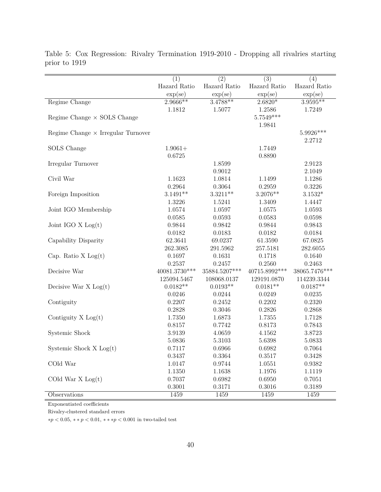|                                           | $\overline{(1)}$  | $\overline{(2)}$ | $\overline{(3)}$ | $\overline{(4)}$  |
|-------------------------------------------|-------------------|------------------|------------------|-------------------|
|                                           | Hazard Ratio      | Hazard Ratio     | Hazard Ratio     | Hazard Ratio      |
|                                           | $\exp(\text{se})$ | exp(se)          | exp(se)          | $\exp(\text{se})$ |
| Regime Change                             | $2.9666**$        | $3.4788**$       | $2.6820*$        | $3.9595***$       |
|                                           | 1.1812            | 1.5077           | 1.2586           | 1.7249            |
| Regime Change $\times$ SOLS Change        |                   |                  | $5.7549***$      |                   |
|                                           |                   |                  | 1.9841           |                   |
| Regime Change $\times$ Irregular Turnover |                   |                  |                  | 5.9926***         |
|                                           |                   |                  |                  | 2.2712            |
| SOLS Change                               | $1.9061+$         |                  | 1.7449           |                   |
|                                           | 0.6725            |                  | 0.8890           |                   |
| Irregular Turnover                        |                   | 1.8599           |                  | 2.9123            |
|                                           |                   | 0.9012           |                  | 2.1049            |
| Civil War                                 | 1.1623            | 1.0814           | 1.1499           | 1.1286            |
|                                           | 0.2964            | 0.3064           | 0.2959           | 0.3226            |
| Foreign Imposition                        | $3.1491**$        | $3.3211**$       | $3.2076**$       | $3.1532*$         |
|                                           | 1.3226            | 1.5241           | 1.3409           | 1.4447            |
| Joint IGO Membership                      | 1.0574            | 1.0597           | 1.0575           | 1.0593            |
|                                           | 0.0585            | 0.0593           | 0.0583           | 0.0598            |
| Joint IGO $X$ $Log(t)$                    | 0.9844            | 0.9842           | 0.9844           | 0.9843            |
|                                           | 0.0182            | 0.0183           | 0.0182           | 0.0184            |
| Capability Disparity                      | 62.3641           | 69.0237          | 61.3590          | 67.0825           |
|                                           | 262.3085          | 291.5962         | 257.5181         | 282.6055          |
| Cap. Ratio $X Log(t)$                     | 0.1697            | 0.1631           | 0.1718           | 0.1640            |
|                                           | 0.2537            | 0.2457           | 0.2560           | 0.2463            |
| Decisive War                              | 40081.3730***     | 35884.5207***    | 40715.8992***    | 38065.7476***     |
|                                           | 125094.5467       | 108068.0137      | 129191.0870      | 114239.3344       |
| Decisive War $X$ Log(t)                   | $0.0182**$        | $0.0193**$       | $0.0181**$       | $0.0187**$        |
|                                           | 0.0246            | 0.0244           | 0.0249           | 0.0235            |
| Contiguity                                | 0.2207            | 0.2452           | 0.2202           | 0.2320            |
|                                           | 0.2828            | 0.3046           | 0.2826           | 0.2868            |
| Contiguity $X Log(t)$                     | 1.7350            | 1.6873           | 1.7355           | 1.7128            |
|                                           | 0.8157            | 0.7742           | 0.8173           | 0.7843            |
| Systemic Shock                            | 3.9139            | 4.0659           | 4.1562           | 3.8723            |
|                                           | 5.0836            | 5.3103           | 5.6398           | 5.0833            |
| Systemic Shock $X Log(t)$                 | 0.7117            | 0.6966           | 0.6982           | 0.7064            |
|                                           | 0.3437            | 0.3364           | 0.3517           | 0.3428            |
| COld War                                  | 1.0147            | 0.9744           | 1.0551           | 0.9382            |
|                                           | 1.1350            | 1.1638           | 1.1976           | 1.1119            |
| COld War $X$ Log(t)                       | 0.7037            | 0.6982           | 0.6950           | 0.7051            |
|                                           | 0.3001            | 0.3171           | 0.3016           | 0.3189            |
| Observations                              | 1459              | 1459             | 1459             | 1459              |

Table 5: Cox Regression: Rivalry Termination 1919-2010 - Dropping all rivalries starting prior to 1919

Exponentiated coefficients

 $\equiv$ 

Rivalry-clustered standard errors

∗*p <* 0*.*05, ∗ ∗ *p <* 0*.*01, ∗ ∗ ∗*p <* 0*.*001 in two-tailed test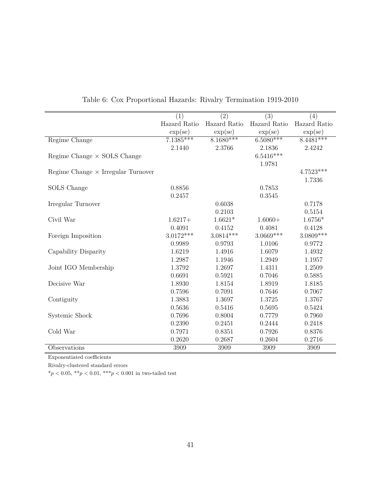|                                           | (1)               | (2)               | (3)               | (4)               |
|-------------------------------------------|-------------------|-------------------|-------------------|-------------------|
|                                           | Hazard Ratio      | Hazard Ratio      | Hazard Ratio      | Hazard Ratio      |
|                                           | $\exp(\text{se})$ | $\exp(\text{se})$ | $\exp(\text{se})$ | $\exp(\text{se})$ |
| Regime Change                             | $7.1385***$       | $8.1680***$       | $6.5080***$       | $8.4481***$       |
|                                           | 2.1440            | 2.3766            | 2.1836            | 2.4242            |
| Regime Change $\times$ SOLS Change        |                   |                   | $6.5416***$       |                   |
|                                           |                   |                   | 1.9781            |                   |
| Regime Change $\times$ Irregular Turnover |                   |                   |                   | 4.7523***         |
|                                           |                   |                   |                   | 1.7336            |
| SOLS Change                               | 0.8856            |                   | 0.7853            |                   |
|                                           | 0.2457            |                   | 0.3545            |                   |
| Irregular Turnover                        |                   | 0.6038            |                   | 0.7178            |
|                                           |                   | 0.2103            |                   | 0.5154            |
| Civil War                                 | $1.6217+$         | $1.6621*$         | $1.6060+$         | $1.6756*$         |
|                                           | 0.4091            | 0.4152            | 0.4081            | 0.4128            |
| Foreign Imposition                        | $3.0172***$       | $3.0814***$       | $3.0669***$       | $3.0809***$       |
|                                           | 0.9989            | 0.9793            | 1.0106            | 0.9772            |
| Capability Disparity                      | 1.6219            | 1.4916            | 1.6079            | 1.4932            |
|                                           | 1.2987            | 1.1946            | 1.2949            | 1.1957            |
| Joint IGO Membership                      | 1.3792            | 1.2697            | 1.4311            | 1.2509            |
|                                           | 0.6691            | 0.5921            | 0.7046            | 0.5885            |
| Decisive War                              | 1.8930            | 1.8154            | 1.8919            | 1.8185            |
|                                           | 0.7596            | 0.7091            | 0.7646            | 0.7067            |
| Contiguity                                | 1.3883            | 1.3697            | 1.3725            | 1.3767            |
|                                           | 0.5636            | 0.5416            | 0.5695            | 0.5424            |
| Systemic Shock                            | 0.7696            | 0.8004            | 0.7779            | 0.7960            |
|                                           | 0.2390            | 0.2451            | 0.2444            | 0.2418            |
| Cold War                                  | 0.7971            | 0.8351            | 0.7926            | 0.8376            |
|                                           | 0.2620            | 0.2687            | 0.2604            | 0.2716            |
| Observations                              | 3909              | 3909              | 3909              | 3909              |

# Table 6: Cox Proportional Hazards: Rivalry Termination 1919-2010

Exponentiated coefficients

Rivalry-clustered standard errors

 $^*p < 0.05,\; ^{**}p < 0.01,\; ^{***}p < 0.001$  in two-tailed test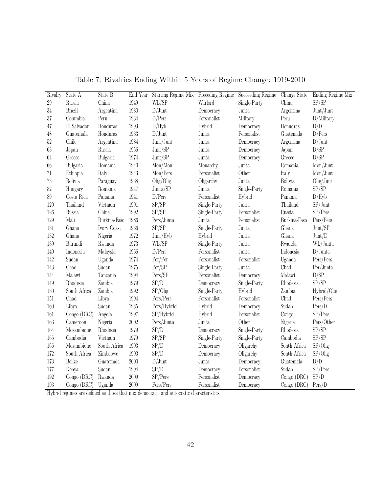| Rivalry | State A                | State $\rm{B}$                                                                       | End Year | Starting Regime Mix Preceding Regime |              | Succeeding Regime | Change State   | Ending Regime Mix |
|---------|------------------------|--------------------------------------------------------------------------------------|----------|--------------------------------------|--------------|-------------------|----------------|-------------------|
| $29\,$  | Russia                 | China                                                                                | 1949     | WL/SP                                | Warlord      | Single-Party      | China          | SP/SP             |
| $34\,$  | <b>Brazil</b>          | Argentina                                                                            | 1980     | $D/J$ unt                            | Democracy    | Junta             | Argentina      | Junt/Junt         |
| $37\,$  | Columbia               | Peru                                                                                 | 1934     | D/Pers                               | Personalist  | Military          | Peru           | D/Military        |
| 47      | El Salvador            | $\operatorname*{Honduras}% \left( \mathcal{M}\right) \equiv\operatorname*{Honduras}$ | 1993     | D/Hyb                                | Hybrid       | Democracy         | Honudras       | D/D               |
| $48\,$  | Guatemala              | Honduras                                                                             | 1933     | $D/J$ unt                            | Junta        | Personalist       | Guatemala      | D/Pers            |
| $52\,$  | Chile                  | Argentina                                                                            | 1984     | Junt/Junt                            | Junta        | Democracy         | Argentina      | $D/J$ unt         |
| $63\,$  | Japan                  | ${\rm Russia}$                                                                       | 1956     | Junt/SP                              | Junta        | Democracy         | Japan          | D/SP              |
| 64      | Greece                 | Bulgaria                                                                             | 1974     | Junt/SP                              | Junta        | Democracy         | Greece         | D/SP              |
| $66\,$  | Bulgaria               | Romania                                                                              | 1940     | Mon/Mon                              | Monarchy     | Junta             | Romania        | Mon/Junt          |
| 71      | Ethiopia               | Italy                                                                                | 1943     | Mon/Pers                             | Personalist  | Other             | Italy          | Mon/Junt          |
| $73\,$  | Bolivia                | Paraguay                                                                             | 1938     | Olig/Olig                            | Oligarchy    | Junta             | <b>Bolivia</b> | Olig/Junt         |
| 82      | Hungary                | Romania                                                                              | 1947     | Junta/SP                             | Junta        | Single-Party      | Romania        | SP/SP             |
| $89\,$  | $\rm Costa$ $\rm Rica$ | Panama                                                                               | 1941     | D/Pers                               | Personalist  | Hybrid            | Panama         | D/Hyb             |
| 120     | Thailand               | Vietnam                                                                              | 1991     | SP/SP                                | Single-Party | Junta             | Thailand       | $SP/J$ unt        |
| 126     | Russia                 | China                                                                                | 1992     | SP/SP                                | Single-Party | Personalist       | Russia         | SP/Pers           |
| 129     | Mali                   | Burkina-Faso                                                                         | 1986     | Pers/Junta                           | Junta        | Personalist       | Burkina-Faso   | Pers/Pers         |
| 131     | Ghana                  | Ivory Coast                                                                          | 1966     | SP/SP                                | Single-Party | Junta             | Ghana          | Junt/SP           |
| 132     | Ghana                  | Nigeria                                                                              | 1972     | Junt/Hyb                             | Hybrid       | Junta             | Ghana          | Junt/D            |
| 139     | Burundi                | Rwanda                                                                               | 1973     | WL/SP                                | Single-Party | Junta             | Rwanda         | WL/Junta          |
| 140     | Indonesia              | Malaysia                                                                             | 1966     | D/Pers                               | Personalist  | Junta             | Indonesia      | $D/J$ unta        |
| 142     | Sudan                  | Uganda                                                                               | 1974     | Per/Per                              | Personalist  | Personalist       | Uganda         | Pers/Pers         |
| 143     | Chad                   | Sudan                                                                                | 1975     | Per/SP                               | Single-Party | Junta             | Chad           | Per/Junta         |
| 144     | Malawi                 | Tanzania                                                                             | 1994     | Pers/SP                              | Personalist  | Democracy         | Malawi         | D/SP              |
| 149     | Rhodesia               | Zambia                                                                               | 1979     | SP/D                                 | Democracy    | Single-Party      | Rhodesia       | SP/SP             |
| $150\,$ | South Africa           | Zambia                                                                               | 1992     | SP/Olig                              | Single-Party | Hybrid            | Zambia         | Hybrid/Olig       |
| 151     | Chad                   | Libya                                                                                | 1994     | Pers/Pers                            | Personalist  | Personalist       | Chad           | Pers/Pers         |
| 160     | Libya                  | Sudan                                                                                | 1985     | Pers/Hybrid                          | Hybrid       | Democracy         | Sudan          | Pers/D            |
| 161     | Congo (DRC)            | Angola                                                                               | 1997     | SP/Hybrid                            | Hybrid       | Personalist       | Congo          | SP/Pers           |
| 163     | Cameroon               | Nigeria                                                                              | 2002     | Pers/Junta                           | Junta        | Other             | Nigeria        | Pers/Other        |
| 164     | Mozambique             | Rhodesia                                                                             | 1979     | SP/D                                 | Democracy    | Single-Party      | Rhodesia       | SP/SP             |
| 165     | Cambodia               | Vietnam                                                                              | 1979     | SP/SP                                | Single-Party | Single-Party      | Cambodia       | SP/SP             |
| 166     | Mozambique             | South Africa                                                                         | 1993     | SP/D                                 | Democracy    | Oligarchy         | South Africa   | SP/Olig           |
| 172     | South Africa           | Zimbabwe                                                                             | 1993     | SP/D                                 | Democracy    | Oligarchy         | South Africa   | SP/Olig           |
| $173\,$ | Belize                 | Guatemala                                                                            | 2000     | $D/J$ unt                            | Junta        | Democracy         | Guatemala      | D/D               |
| 177     | Kenya                  | Sudan                                                                                | 1994     | SP/D                                 | Democracy    | Personalist       | Sudan          | SP/Pers           |
| 192     | Congo (DRC)            | Rwanda                                                                               | 2009     | SP/Pers                              | Personalist  | Democracy         | Congo(DRC)     | SP/D              |
| 193     | Congo(DRC)             | Uganda                                                                               | 2009     | Pers/Pers                            | Personalist  | Democracy         | Congo (DRC)    | Pers/D            |

Table 7: Rivalries Ending Within 5 Years of Regime Change: 1919-2010

Hybrid regimes are defined as those that mix democratic and autocratic characteristics.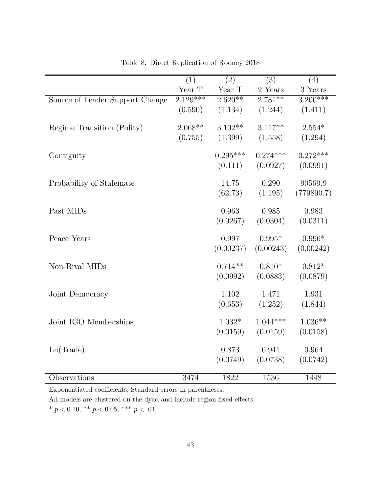|                                 | (1)        | (2)        | (3)            | (4)        |
|---------------------------------|------------|------------|----------------|------------|
|                                 | Year T     | Year T     | $2$ Years $\,$ | 3 Years    |
| Source of Leader Support Change | $2.129***$ | $2.620**$  | $2.781**$      | $3.200***$ |
|                                 | (0.590)    | (1.134)    | (1.244)        | (1.411)    |
| Regime Transition (Polity)      | $2.068**$  | $3.102**$  | $3.117**$      | $2.554*$   |
|                                 | (0.755)    | (1.399)    | (1.558)        | (1.294)    |
|                                 |            |            |                |            |
| Contiguity                      |            | $0.295***$ | $0.274***$     | $0.272***$ |
|                                 |            | (0.111)    | (0.0927)       | (0.0991)   |
| Probability of Stalemate        |            | 14.75      | 0.290          | 90569.9    |
|                                 |            | (62.73)    | (1.195)        | (779890.7) |
|                                 |            |            |                |            |
| Past MIDs                       |            | 0.963      | 0.985          | 0.983      |
|                                 |            | (0.0267)   | (0.0304)       | (0.0311)   |
| Peace Years                     |            | 0.997      | $0.995*$       | $0.996*$   |
|                                 |            | (0.00237)  | (0.00243)      | (0.00242)  |
| Non-Rival MIDs                  |            | $0.714**$  | $0.810*$       | $0.812*$   |
|                                 |            | (0.0992)   | (0.0883)       | (0.0879)   |
|                                 |            |            |                |            |
| Joint Democracy                 |            | 1.102      | 1.471          | 1.931      |
|                                 |            | (0.653)    | (1.252)        | (1.844)    |
| Joint IGO Memberships           |            | $1.032*$   | $1.044***$     | $1.036**$  |
|                                 |            | (0.0159)   | (0.0159)       | (0.0158)   |
|                                 |            |            |                |            |
| Ln(Trade)                       |            | 0.873      | 0.941          | 0.964      |
|                                 |            | (0.0749)   | (0.0738)       | (0.0742)   |
| Observations                    | 3474       | 1822       | 1536           | 1448       |

Table 8: Direct Replication of Rooney 2018

Exponentiated coefficients; Standard errors in parentheses.

All models are clustered on the dyad and include region fixed effects.

\*  $p < 0.10,$  \*\*  $p < 0.05,$  \*\*\*  $p < .01$